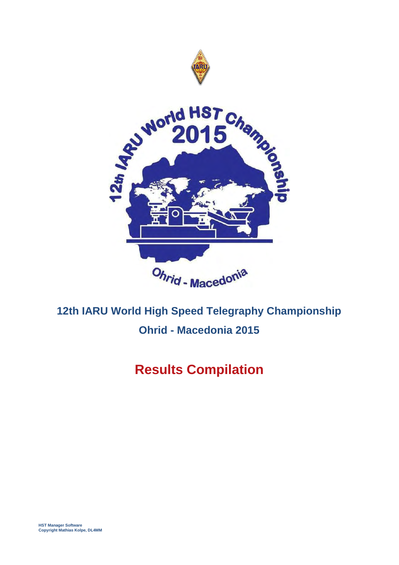

# **Results Compilation**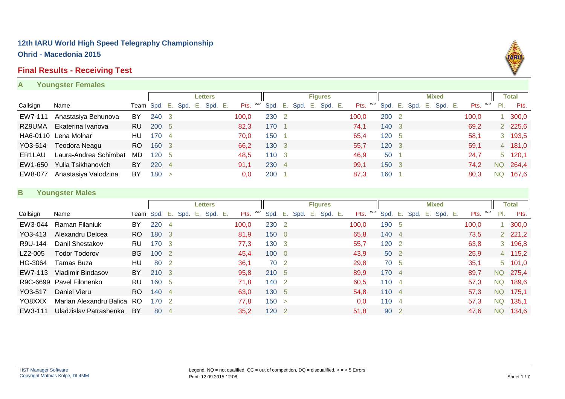#### **Final Results - Receiving Test**

#### **A Youngster Females**



|          |                       |     |                              |    |  | <b>Letters</b> |       |           |                                 | <b>Figures</b> |            |       |                         | <b>Mixed</b> |         |     | Total          |
|----------|-----------------------|-----|------------------------------|----|--|----------------|-------|-----------|---------------------------------|----------------|------------|-------|-------------------------|--------------|---------|-----|----------------|
| Callsign | Name                  |     | Team Spd. E. Spd. E. Spd. E. |    |  |                |       |           | Pts. WR Spd. E. Spd. E. Spd. E. |                | WR<br>Pts. |       | Spd. E. Spd. E. Spd. E. |              | Pts. WR | PI. | Pts.           |
| EW7-111  | Anastasiya Behunova   | BY  | 240 3                        |    |  |                | 100.0 | 230 2     |                                 |                | 100.0      | 200 2 |                         |              | 100.0   |     | 300,0          |
| RZ9UMA   | Ekaterina Ivanova     | RU. | 200 5                        |    |  |                | 82.3  | 170       |                                 |                | 74.1       | 140 3 |                         |              | 69.2    |     | 2 225,6        |
|          | HA6-0110 Lena Molnar  | HU  | 170                          |    |  |                | 70,0  | 150       |                                 |                | 65,4       | 120 5 |                         |              | 58,1    |     | 3 193,5        |
| YO3-514  | <b>Teodora Neagu</b>  | RO. | 160 3                        |    |  |                | 66,2  | 130 3     |                                 |                | 55.7       | 120 3 |                         |              | 59.1    |     | 4 181,0        |
| ER1LAU   | Laura-Andrea Schimbat | MD  | 120                          |    |  |                | 48,5  | $110 \t3$ |                                 |                | 46.9       | 50 1  |                         |              | 24,7    |     | $5\quad 120,1$ |
| EW1-650  | Yulia Tsikhanovich    | BY  | 220                          | -4 |  |                | 91,1  | 230 4     |                                 |                | 99,1       | 150 3 |                         |              | 74,2    |     | NQ 264,4       |
| EW8-077  | Anastasiya Valodzina  | BY  | 180                          |    |  |                | 0,0   | 200       |                                 |                | 87,3       | 160 1 |                         |              | 80.3    | NQ. | 167,6          |

#### **B Youngster Males**

|          |                          |           |              |                |      |    | Letters |       |    |                  |      | <b>Figures</b> |         |            |                  |      |      |    | <b>Mixed</b> |       |    |           | <b>Total</b>   |
|----------|--------------------------|-----------|--------------|----------------|------|----|---------|-------|----|------------------|------|----------------|---------|------------|------------------|------|------|----|--------------|-------|----|-----------|----------------|
| Callsign | Name                     |           | Team Spd. E. |                | Spd. | Е. | Spd. E. | Pts.  | WR | Spd. E.          | Spd. | E.,            | Spd. E. | WR<br>Pts. | Spd.             | Ε.   | Spd. | Ε. | Spd. E.      | Pts.  | WR | PI.       | Pts.           |
| EW3-044  | Raman Filaniuk           | BY        | 220          | 4              |      |    |         | 100,0 |    | 230 2            |      |                |         | 100,0      | 190 5            |      |      |    |              | 100,0 |    |           | 300,0          |
| YO3-413  | Alexandru Delcea         | RO.       | 180 3        |                |      |    |         | 81.9  |    | 1500             |      |                |         | 65,8       | 140 4            |      |      |    |              | 73,5  |    |           | 2, 221, 2      |
| R9U-144  | Danil Shestakov          | RU        | 170 3        |                |      |    |         | 77,3  |    | 130 3            |      |                |         | 55,7       | 120 <sub>2</sub> |      |      |    |              | 63,8  |    |           | 3 196,8        |
| LZ2-005  | <b>Todor Todorov</b>     | <b>BG</b> | 100          | $\overline{2}$ |      |    |         | 45,4  |    | $100 \quad 0$    |      |                |         | 43.9       |                  | 50 2 |      |    |              | 25,9  |    |           | 4 115,2        |
| HG-3064  | Tamas Buza               | HU        | 80           | $\overline{2}$ |      |    |         | 36,1  |    | 70 2             |      |                |         | 29,8       |                  | 70 5 |      |    |              | 35,1  |    |           | $5\quad 101,0$ |
| EW7-113  | Vladimir Bindasov        | BY.       | 210 3        |                |      |    |         | 95,8  |    | 210 5            |      |                |         | 89,9       | 170 4            |      |      |    |              | 89,7  |    | NQ.       | 275,4          |
|          | R9C-6699 Pavel Filonenko | RU        | 160          | -5             |      |    |         | 71,8  |    | 140 2            |      |                |         | 60,5       | 1104             |      |      |    |              | 57,3  |    | <b>NQ</b> | 189,6          |
| YO3-517  | Daniel Vieru             | RO.       | 140 4        |                |      |    |         | 63,0  |    | 130 5            |      |                |         | 54,8       | $110 \t 4$       |      |      |    |              | 57,3  |    | <b>NQ</b> | 175,1          |
| YO8XXX   | Marian Alexandru Balica  | RO.       | 170 2        |                |      |    |         | 77,8  |    | 150 >            |      |                |         | 0,0        | 110 4            |      |      |    |              | 57,3  |    | <b>NQ</b> | 135,1          |
| EW3-111  | Uladzislav Patrashenka   | BY        | 80           | -4             |      |    |         | 35,2  |    | 120 <sub>2</sub> |      |                |         | 51,8       |                  | 90 2 |      |    |              | 47,6  |    | NQ        | 134,6          |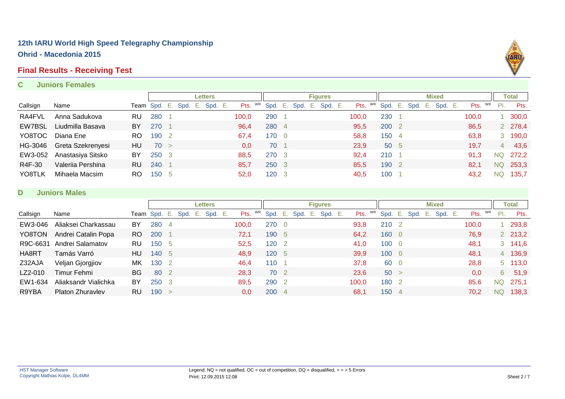#### **Final Results - Receiving Test**

#### **C Juniors Females**



|          |                   |     |                |     |         | <b>Letters</b> |      |       |           |       |      |      | <b>Figures</b> |         |       |    |                  |     |      |      | <b>Mixed</b> |       |    |                | Total     |
|----------|-------------------|-----|----------------|-----|---------|----------------|------|-------|-----------|-------|------|------|----------------|---------|-------|----|------------------|-----|------|------|--------------|-------|----|----------------|-----------|
| Callsign | Name              |     | Team Spd. E. . |     | Spd. E. | Spd.           | - E. | Pts.  | <b>WR</b> | Spd.  | - E. | Spd. | E.,            | Spd. E. | Pts.  | WR | Spd.             | -Ε. | Spd. | ۰E., | Spd. E.      | Pts.  | WR | PI.            | Pts.      |
| RA4FVL   | Anna Sadukova     | RU  | 280            |     |         |                |      | 100,0 |           | 290   |      |      |                |         | 100,0 |    | 230              |     |      |      |              | 100,0 |    |                | 1, 300, 0 |
| EW7BSL   | Liudmilla Basava  | BY  | 270            |     |         |                |      | 96,4  |           | 280 4 |      |      |                |         | 95,5  |    | 200 2            |     |      |      |              | 86,5  |    |                | 2 278,4   |
| YO8TOC   | Diana Ene         | RO. | 190            |     |         |                |      | 67,4  |           | 170 0 |      |      |                |         | 58,8  |    | 150 4            |     |      |      |              | 63,8  |    |                | 3 190,0   |
| HG-3046  | Greta Szekrenyesi | HU  | 70 >           |     |         |                |      | 0.0   |           | 70    |      |      |                |         | 23,9  |    | 50 5             |     |      |      |              | 19,7  |    | 4 <sup>1</sup> | 43,6      |
| EW3-052  | Anastasiya Sitsko | BY  | 250            | - 3 |         |                |      | 88,5  |           | 270 3 |      |      |                |         | 92,4  |    | 210 <sub>1</sub> |     |      |      |              | 91,3  |    |                | NQ 272,2  |
| R4F-30   | Valeriia Pershina | RU  | 240            |     |         |                |      | 85,7  |           | 250 3 |      |      |                |         | 85.5  |    | 190 2            |     |      |      |              | 82,1  |    |                | NQ 253,3  |
| YO8TLK   | Mihaela Macsim    | RO. | 150            | - 5 |         |                |      | 52,0  |           | 120 3 |      |      |                |         | 40,5  |    | 100              |     |      |      |              | 43,2  |    | <b>NQ</b>      | 135,7     |

#### **D Juniors Males**

|          |                         |     |              |                |      |        | <b>Letters</b> |       |    |         |      |    | <b>Figures</b> |       |    |              |    |      |    | <b>Mixed</b> |       |    |           | <b>Total</b> |
|----------|-------------------------|-----|--------------|----------------|------|--------|----------------|-------|----|---------|------|----|----------------|-------|----|--------------|----|------|----|--------------|-------|----|-----------|--------------|
| Callsign | Name                    |     | Team Spd. E. |                | Spd. | - E. I | Spd. E.        | Pts.  | WR | Spd. E. | Spd. | E. | Spd. E.        | Pts.  | WR | Spd.         | E. | Spd. | E. | Spd. E.      | Pts.  | WR | PI.       | Pts.         |
| EW3-046  | Aliaksei Charkassau     | BY  | 280          | $\overline{4}$ |      |        |                | 100,0 |    | 270 0   |      |    |                | 93,8  |    | 210 2        |    |      |    |              | 100,0 |    |           | 293,8        |
| YO8TON   | Andrei Catalin Popa     | RO. | 200          |                |      |        |                | 72,1  |    | 190 5   |      |    |                | 64,2  |    | 160 0        |    |      |    |              | 76,9  |    |           | 2 213,2      |
| R9C-6631 | Andrei Salamatov        | RU  | 150 5        |                |      |        |                | 52,5  |    | 120 2   |      |    |                | 41,0  |    | 1000         |    |      |    |              | 48,1  |    |           | 3, 141, 6    |
| HA8RT    | Tamás Varró             | HU  | 140 5        |                |      |        |                | 48,9  |    | 120 5   |      |    |                | 39,9  |    | $100\quad 0$ |    |      |    |              | 48,1  |    |           | 4 136,9      |
| Z32AJA   | Veljan Gjorgjiov        | МK  | 130          | -2             |      |        |                | 46,4  |    | 110     |      |    |                | 37,8  |    | 60 0         |    |      |    |              | 28,8  |    |           | 5 113,0      |
| LZ2-010  | Timur Fehmi             | BG  | 80           | $\overline{2}$ |      |        |                | 28,3  |    | 70 2    |      |    |                | 23,6  |    | 50 >         |    |      |    |              | 0,0   |    | 6         | 51,9         |
| EW1-634  | Aliaksandr Vialichka    | BY  | 250          | -3             |      |        |                | 89,5  |    | 290 2   |      |    |                | 100,0 |    | 180 2        |    |      |    |              | 85,6  |    | <b>NQ</b> | 275,1        |
| R9YBA    | <b>Platon Zhuravlev</b> | RU  | 190          | $\geq$         |      |        |                | 0.0   |    | 200 4   |      |    |                | 68,1  |    | 150 4        |    |      |    |              | 70.2  |    | <b>NQ</b> | 138,3        |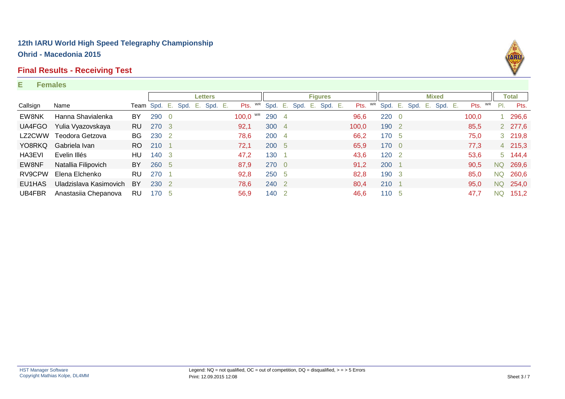#### **Final Results - Receiving Test**

#### **E Females**

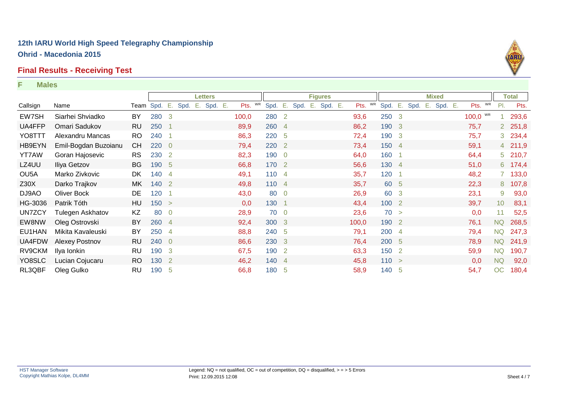#### **Final Results - Receiving Test**

#### **F Males**



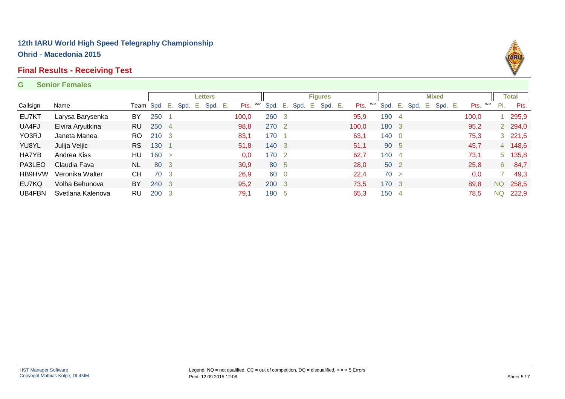#### **Final Results - Receiving Test**

#### **G Senior Females**



|          |                   |           |              |                |      |      | <b>Letters</b> |       |    |       |      |      |    | <b>Figures</b> |       |    |         |      |    | <b>Mixed</b> |       |    |               | Total          |
|----------|-------------------|-----------|--------------|----------------|------|------|----------------|-------|----|-------|------|------|----|----------------|-------|----|---------|------|----|--------------|-------|----|---------------|----------------|
| Callsign | Name              |           | Team Spd. E. |                | Spd. | - E. | Spd. E.        | Pts.  | WR | Spd.  | - E. | Spd. | E. | Spd. E.        | Pts.  | WR | Spd. E. | Spd. | Е. | Spd. E.      | Pts.  | WR | $\mathsf{PL}$ | Pts.           |
| EU7KT    | Larysa Barysenka  | BY        | 250          |                |      |      |                | 100,0 |    | 260 3 |      |      |    |                | 95,9  |    | 190 4   |      |    |              | 100,0 |    |               | 295,9          |
| UA4FJ    | Elvira Aryutkina  | RU.       | 250          | $\overline{4}$ |      |      |                | 98,8  |    | 270 2 |      |      |    |                | 100,0 |    | 180 3   |      |    |              | 95,2  |    |               | 2 294,0        |
| YO3RJ    | Janeta Manea      | RO.       | 210 3        |                |      |      |                | 83,1  |    | 170   |      |      |    |                | 63,1  |    | 140 0   |      |    |              | 75,3  |    |               | $3\quad 221,5$ |
| YU8YL    | Julija Veljic     | RS.       | 130          |                |      |      |                | 51,8  |    | 140 3 |      |      |    |                | 51,1  |    | 90 5    |      |    |              | 45,7  |    |               | 4 148,6        |
| HA7YB    | Andrea Kiss       | HU        | 160 >        |                |      |      |                | 0,0   |    | 170 2 |      |      |    |                | 62,7  |    | 140 4   |      |    |              | 73,1  |    |               | 5 135,8        |
| PA3LEO   | Claudia Fava      | NL.       | 80 3         |                |      |      |                | 30,9  |    | 80 5  |      |      |    |                | 28,0  |    | 50 2    |      |    |              | 25,8  |    | $6^{\circ}$   | 84,7           |
| HB9HVW   | Veronika Walter   | CН        | 70 3         |                |      |      |                | 26,9  |    | 60 0  |      |      |    |                | 22,4  |    | 70 >    |      |    |              | 0,0   |    |               | 49,3           |
| EU7KQ    | Volha Behunova    | BY        | 240 3        |                |      |      |                | 95,2  |    | 200 3 |      |      |    |                | 73.5  |    | 170 3   |      |    |              | 89.8  |    | NQ            | 258,5          |
| UB4FBN   | Svetlana Kalenova | <b>RU</b> | 200          | 3              |      |      |                | 79,1  |    | 180 5 |      |      |    |                | 65,3  |    | 150 4   |      |    |              | 78,5  |    | <b>NQ</b>     | 222,9          |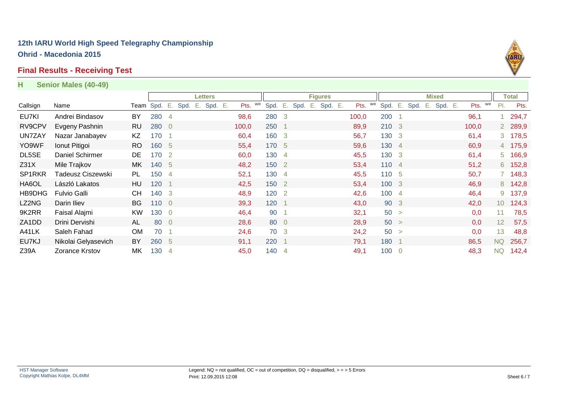#### **Final Results - Receiving Test**

#### **H Senior Males (40-49)**

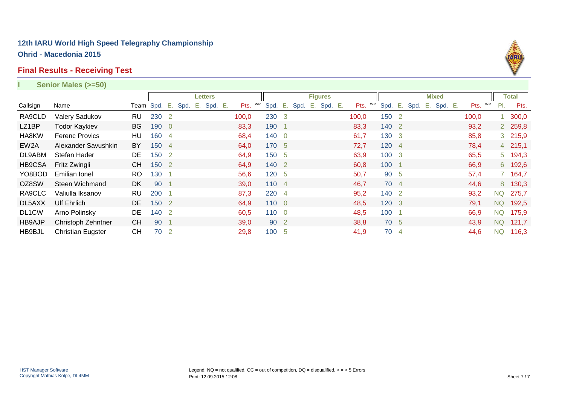#### **Final Results - Receiving Test**

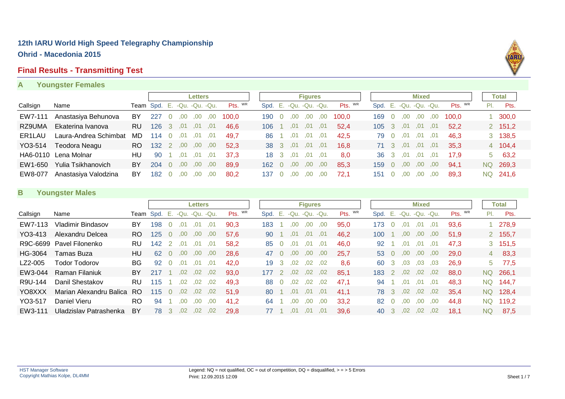# **Final Results - Transmitting Test**

#### **A Youngster Females**

|                     |                       |                             |     |              |     | <b>Letters</b> |     |                       |                        |     | <b>Figures</b> |     |         |                        |          | <b>Mixed</b> |     |               |     | Total     |
|---------------------|-----------------------|-----------------------------|-----|--------------|-----|----------------|-----|-----------------------|------------------------|-----|----------------|-----|---------|------------------------|----------|--------------|-----|---------------|-----|-----------|
| Callsign            | Name                  | Team Spd. E. -Qu. -Qu. -Qu. |     |              |     |                |     | $P$ <sup>ts. WR</sup> | Spd. E. -Qu. -Qu. -Qu. |     |                |     | Pts. WR | Spd. E. -Qu. -Qu. -Qu. |          |              |     | $P$ ts. $W$ R | PI. | Pts.      |
| EW7-111             | Anastasiya Behunova   | BY                          | 227 |              | .00 | .00            | .00 | 100.0                 | 190                    | ,00 | .00            | ,00 | 100.0   | 169                    | .00      | .00          | ,00 | 100.0         |     | 1, 300, 0 |
| RZ9UMA              | Ekaterina Ivanova     | RU.                         | 126 | 3            | .01 | .01            | .01 | 46.6                  | 106                    | .01 | .01            | .01 | 52.4    | $105 \quad 3$          | .01      | .01          | .01 | 52.2          |     | 2, 151, 2 |
| ER <sub>1</sub> LAU | Laura-Andrea Schimbat | MD                          | 114 |              | .01 | .01            | .01 | 49.7                  | 86                     | .01 | .01            | .01 | 42.5    | 79 0                   | .01      | .01          | .01 | 46.3          |     | 3 138,5   |
| YO3-514             | Teodora Neagu         | RO.                         | 132 | <sup>2</sup> | .00 | .00.           | .00 | 52.3                  | $38 \quad 3$           | .01 | .01            | .01 | 16.8    |                        | 71 3 ,01 | ,01          | ,01 | 35.3          |     | 4 104,4   |
|                     | HA6-0110 Lena Molnar  | HU                          | 90  |              | .01 | ,01            | .01 | 37.3                  | $18 \quad 3$           | .01 | .01            | .01 | 8.0     |                        | 36 3 .01 | ,01          | .01 | 17.9          |     | 563,2     |
| EW1-650             | Yulia Tsikhanovich    | BY                          | 204 |              | .00 | .00.           | .00 | 89.9                  | $162 \ 0$              | .00 | $.00 \cdot$    | .00 | 85,3    | 159 0                  | $.00 \,$ | .00.         | .00 | 94,1          | NQ. | 269,3     |
| EW8-077             | Anastasiya Valodzina  | BY                          | 182 |              | .00 | .00            | .00 | 80.2                  | 137                    | ,00 | .00            | .00 | 72.1    | 151                    | .00      | .00          | .00 | 89.3          |     | NQ 241,6  |

#### **B Youngster Males**

|          |                          |           |                             |          |     | <b>Letters</b>   |     |         |      |           |                  | <b>Figures</b>    |      |         |      |                   |                  | <b>Mixed</b>      |     |         |     | Total     |
|----------|--------------------------|-----------|-----------------------------|----------|-----|------------------|-----|---------|------|-----------|------------------|-------------------|------|---------|------|-------------------|------------------|-------------------|-----|---------|-----|-----------|
| Callsign | Name                     |           | Team Spd. E. -Qu. -Qu. -Qu. |          |     |                  |     | Pts. WR | Spd. |           |                  | E. -Qu. -Qu. -Qu. |      | Pts. WR | Spd. |                   |                  | E. -Qu. -Qu. -Qu. |     | Pts. WR | PI. | Pts.      |
| EW7-113  | Vladimir Bindasov        | BY        | 198                         | $\Omega$ | .01 | .01              | .01 | 90,3    | 183  |           | ,00              | .00               | .00. | 95,0    | 173  |                   | .01              | .01               | .01 | 93,6    |     | 278,9     |
| YO3-413  | Alexandru Delcea         | RO.       | 125                         | 0        | .00 | .00              | .00 | 57.6    | 90   |           | .01              | .01               | .01  | 46,2    | 100  |                   | .00              | .00.              | .00 | 51.9    |     | 2 155,7   |
|          | R9C-6699 Pavel Filonenko | <b>RU</b> | 142                         | 2        | .01 | .01              | .01 | 58.2    | 85   | 0         | .01              | .01               | .01  | 46,0    | 92   |                   | .01              | .01               | .01 | 47.3    |     | 3, 151, 5 |
| HG-3064  | Tamas Buza               | HU        | 62                          | $\Omega$ | .00 | .00              | .00 | 28.6    | 47   | $\Omega$  | ,00              | .00.              | .00. | 25.7    | 53 0 |                   | .00.             | .00.              | .00 | 29.0    |     | 4 83,3    |
| LZ2-005  | <b>Todor Todorov</b>     | BG.       | 92                          | $\Omega$ | .01 | .01              | .01 | 42.0    | 19   | $\cdot$ 3 | .02              | .02               | .02  | 8.6     | 60.  | -3                | 03 <sub>o</sub>  | .03               | .03 | 26.9    |     | $5$ 77,5  |
| EW3-044  | Raman Filaniuk           | BY        | 217                         |          | .02 | .02 <sub>1</sub> | ,02 | 93.0    | 177  |           | .02 <sub>1</sub> | .02               | .02  | 85.1    | 183  | $\cdot$ 2 $\cdot$ | .02 <sub>1</sub> | .02 <sub>1</sub>  | ,02 | 88.0    |     | NQ 266,1  |
| R9U-144  | Danil Shestakov          | <b>RU</b> | 115                         |          | .02 | .02              | .02 | 49.3    | 88   | $\Omega$  | .02              | .02 <sub>1</sub>  | .02  | 47.1    | 94   |                   | .01              | .01               | .01 | 48.3    | NQ. | 144.7     |
| YO8XXX   | Marian Alexandru Balica  | RO.       | 115                         | $\Omega$ | .02 | .02              | .02 | 51.9    | 80   |           | .01              | .01               | .01  | 41.1    | 78 3 |                   | .02 <sub>0</sub> | .02               | .02 | 35,4    | NQ. | 128,4     |
| YO3-517  | Daniel Vieru             | RO        | 94                          |          | .00 | .00              | .00 | 41.2    | 64   |           | .00              | .00               | .00  | 33,2    | 82   | - 0               | .00.             | .00.              | .00 | 44,8    | NQ. | 119,2     |
| EW3-111  | Uladzislav Patrashenka   | BY        | 78                          | 3        | .02 | .02              | ,02 | 29.8    |      |           | .01              | .01               | .01  | 39.6    | 40   | - 3               | .02 <sub>0</sub> | .02               | .02 | 18.1    | NQ  | 87.5      |

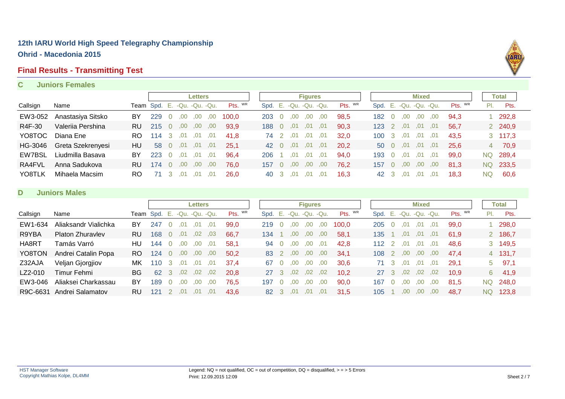#### **Final Results - Transmitting Test**

#### **C Juniors Females**



#### **D Juniors Males**

|          |                      |           |                             |                |      | <b>Letters</b> |     |         |      |                  |                  | <b>Figures</b> |                        |         |               |                |          | <b>Mixed</b>           |      |         |     | Total    |
|----------|----------------------|-----------|-----------------------------|----------------|------|----------------|-----|---------|------|------------------|------------------|----------------|------------------------|---------|---------------|----------------|----------|------------------------|------|---------|-----|----------|
| Callsign | Name                 |           | Team Spd. E. -Qu. -Qu. -Qu. |                |      |                |     | Pts. WR |      |                  |                  |                | Spd. E. -Qu. -Qu. -Qu. | Pts. WR |               |                |          | Spd. E. -Qu. -Qu. -Qu. |      | Pts. WR | PI. | Pts.     |
| EW1-634  | Aliaksandr Vialichka | BY        | 247                         |                | .01  |                | .01 | 99.0    | 219  |                  | 00               | .00            | .00                    | 100.0   | 205           |                | .01      | .01                    | .01  | 99.0    |     | 298,0    |
| R9YBA    | Platon Zhuravlev     | <b>RU</b> | 168                         | $\Omega$       | .01  | .02            | .03 | 66.7    | 134  |                  | .00              | .00.           | .00                    | 58.1    | 135           |                | .01      | .01                    | .01  | 61.9    |     | 2 186,7  |
| HA8RT    | Tamás Varró          | HU        | 144                         | $\overline{0}$ | .00. | .00.           | .01 | 58.1    | 94   | $\Omega$         | .00              | .00.           | .01                    | 42.8    | $112 \quad 2$ |                | .01      | .01                    | .01  | 48.6    |     | 3 149,5  |
| YO8TON   | Andrei Catalin Popa  | RO.       | 124                         | $\Omega$       | .00  | .00.           | .00 | 50.2    | 83   |                  | .00.             | .00.           | .00                    | 34,1    | 108           | $\overline{2}$ | .00.     | ,00                    | .00  | 47.4    |     | 4 131,7  |
| Z32AJA   | Veljan Gjorgjiov     | МK        | 110                         | -3.            | .01  | .01            | .01 | 37.4    | 67   | $\left( \right)$ | .00              | .00            | .00                    | 30,6    | 71 3          |                | .01      | .01                    | .01  | 29.1    |     | $5$ 97,1 |
| LZ2-010  | Timur Fehmi          | <b>BG</b> | 62                          | 3              | .02  | .02            | .02 | 20.8    | 27   | $\mathbf{R}$     | .02 <sub>1</sub> | .02            | .02                    | 10,2    |               |                | 27 3 ,02 | .02 <sub>1</sub>       | 0.02 | 10.9    |     | 6 41,9   |
| EW3-046  | Aliaksei Charkassau  | BY        | 189                         |                | .00  | .00.           | .00 | 76.5    | 197  | $\Omega$         | .00              | .00.           | .00                    | 90.0    | 167           |                | .00      | .00.                   | .00  | 81.5    | NQ. | 248,0    |
| R9C-6631 | Andrei Salamatov     | RU        | 121                         |                | .01  | .01            | .01 | 43.6    | 82 3 |                  | .01              | .01            | .01                    | 31.5    | 105           |                | .00.     | .00.                   | .00  | 48.7    |     | NQ 123,8 |

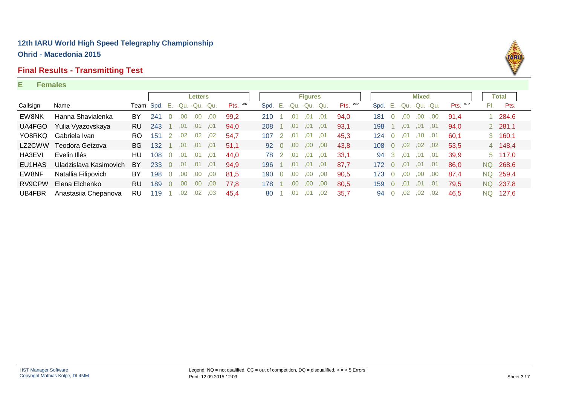#### **Final Results - Transmitting Test**

#### **E Females**



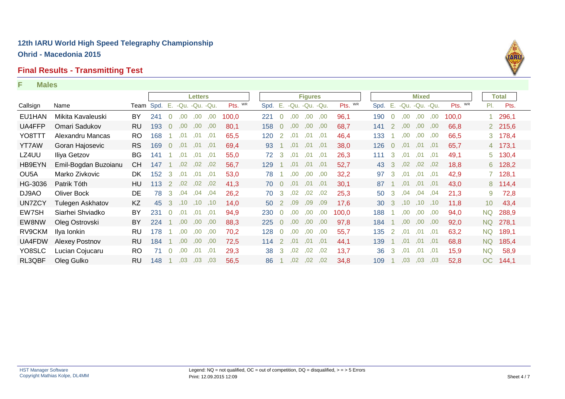### **Final Results - Transmitting Test**

#### **F Males**

|                   |                      |           |      |                |                | <b>Letters</b>   |     |         |      |                |      | <b>Figures</b> |     |         |      |                |                  | <b>Mixed</b> |      |         |                 | Total   |
|-------------------|----------------------|-----------|------|----------------|----------------|------------------|-----|---------|------|----------------|------|----------------|-----|---------|------|----------------|------------------|--------------|------|---------|-----------------|---------|
| Callsign          | Name                 | Team      | Spd. | $-E_{\rm eff}$ | -Qu. -Qu. -Qu. |                  |     | Pts. WR | Spd. | Е.             |      | -Qu. -Qu. -Qu. |     | Pts. WR | Spd. | Е.             | -Qu. -Qu. -Qu.   |              |      | Pts. WR | PI.             | Pts.    |
| EU1HAN            | Mikita Kavaleuski    | BY.       | 241  | $\overline{0}$ | .00.           | .00              | .00 | 100,0   | 221  | $\Omega$       | .00  | .00            | ,00 | 96,1    | 190  | $\Omega$       | $.00\,$          | ,00          | .00. | 100,0   |                 | 1 296,1 |
| UA4FFP            | Omari Sadukov        | RU        | 193  | $\Omega$       | .00.           | 00.              | .00 | 80,1    | 158  | $\overline{0}$ | .00  | .00.           | ,00 | 68,7    | 141  | <sup>2</sup>   | .00.             | .00.         | .00. | 66,8    |                 | 2 215,6 |
| YO8TTT            | Alexandru Mancas     | RO.       | 168  |                | .01            | .01              | .01 | 65,5    | 120  | <sup>2</sup>   | .01  | .01            | ,01 | 46,4    | 133  |                | $.00\,$          | ,00          | ,00  | 66,5    |                 | 3 178,4 |
| YT7AW             | Goran Hajosevic      | <b>RS</b> | 169  | $\Omega$       | .01            | .01              | .01 | 69,4    | 93   |                | .01  | .01            | .01 | 38,0    | 126  | $\overline{0}$ | .01              | .01          | ,01  | 65,7    |                 | 4 173,1 |
| LZ4UU             | Iliya Getzov         | <b>BG</b> | 141  |                | .01            | .01              | .01 | 55,0    | 72   | 3              | .01  | .01            | .01 | 26,3    | 111  | -3             | .01              | .01          | ,01  | 49,1    |                 | 5 130,4 |
| HB9EYN            | Emil-Bogdan Buzoianu | CН        | 147  |                | .02            | .02 <sub>0</sub> | ,02 | 56,7    | 129  |                | .01  | .01            | .01 | 52,7    | 43   | 3              | .02 <sub>0</sub> | ,02          | ,02  | 18,8    |                 | 6 128,2 |
| OU <sub>5</sub> A | Marko Zivkovic       | DK.       | 152  | 3              | .01            | .01              | .01 | 53,0    | 78   |                | .00. | .00            | .00 | 32,2    | 97   | 3              | .01              | .01          | .01  | 42,9    |                 | 7 128,1 |
| HG-3036           | Patrik Tóth          | HU.       | 113  | $\mathbf{2}$   | .02            | .02 <sub>1</sub> | .02 | 41.3    | 70   | $\overline{0}$ | .01  | .01            | ,01 | 30.1    | 87   |                | .01              | .01          | ,01  | 43,0    |                 | 8 114,4 |
| DJ9AO             | <b>Oliver Bock</b>   | DE        | 78   | 3              | .04            | .04              | .04 | 26,2    | 70   | 3 <sup>1</sup> | .02  | .02            | ,02 | 25,3    | 50   | 3              | .04              | .04          | ,04  | 21,3    | 9               | 72,8    |
| UN7ZCY            | Tulegen Askhatov     | KZ        | 45   | 3              | .10            | .10 <sub>1</sub> | .10 | 14.0    | 50   |                | .09  | .09            | .09 | 17,6    | 30   | -3             | .10 <sub>1</sub> | ,10          | ,10  | 11,8    | 10 <sup>°</sup> | 43,4    |
| EW7SH             | Siarhei Shviadko     | BY        | 231  | $\Omega$       | .01            | .01              | ,01 | 94.9    | 230  |                | .00  | 00,            | ,00 | 100.0   | 188  |                | .00              | ,00,         | ,00  | 94,0    | NQ              | 288,9   |
| EW8NW             | Oleg Ostrovski       | BY        | 224  |                | .00            | .00.             | ,00 | 88.3    | 225  | $\Omega$       | .00  | .00.           | .00 | 97,8    | 184  |                | .00.             | .00.         | ,00  | 92,0    | <b>NQ</b>       | 278,1   |
| RV9CKM            | Ilya Ionkin          | RU        | 178  |                | .00.           | .00.             | .00 | 70,2    | 128  | $\Omega$       | .00  | .00.           | ,00 | 55,7    | 135  | 2              | .01              | .01          | ,01  | 63,2    | <b>NQ</b>       | 189,1   |
| UA4FDW            | Alexey Postnov       | RU        | 184  |                | .00.           | .00.             | .00 | 72,5    | 114  | 2              | .01  | .01            | ,01 | 44,1    | 139  |                | .01              | .01          | .01  | 68,8    | <b>NQ</b>       | 185,4   |
| YO8SLC            | Lucian Cojucaru      | RO        | 71   | $\overline{0}$ | .00.           | .01              | .01 | 29,3    | 38   | 3              | .02  | .02            | ,02 | 13,7    | 36   | 3              | .01              | .01          | ,01  | 15,9    | <b>NQ</b>       | 58,9    |
| RL3QBF            | Oleg Gulko           | RU        | 148  |                | .03            | .03              | .03 | 56.5    | 86   |                | .02  | .02            | .02 | 34.8    | 109  |                | .03              | .03          | .03  | 52,8    | OC              | 144,1   |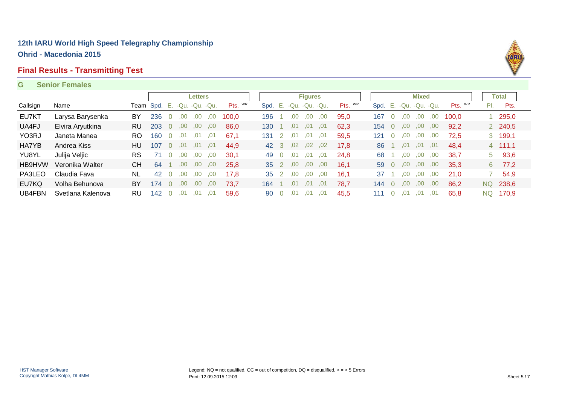#### **Final Results - Transmitting Test**

#### **G Senior Females**



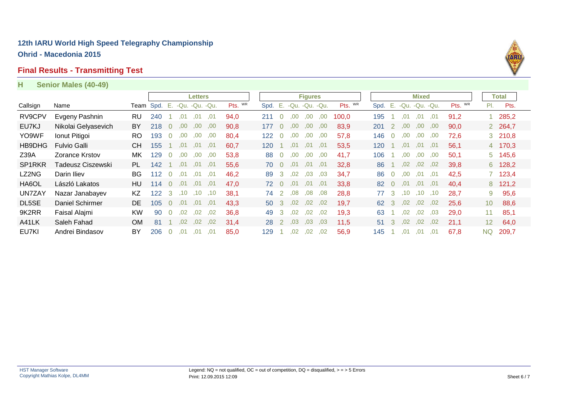### **Final Results - Transmitting Test**

#### **H Senior Males (40-49)**

|          |                       |           |     |                |                | <b>Letters</b> |      |         |      |                |      | <b>Figures</b> |      |         |      |                |                  | <b>Mixed</b>      |     |         |                 | Total   |  |
|----------|-----------------------|-----------|-----|----------------|----------------|----------------|------|---------|------|----------------|------|----------------|------|---------|------|----------------|------------------|-------------------|-----|---------|-----------------|---------|--|
| Callsign | Name                  | Team Spd. |     | Е.             | -Qu. -Qu. -Qu. |                |      | Pts. WR | Spd. | Е.             |      | -Qu. -Qu. -Qu. |      | Pts. WR | Spd. |                |                  | E. -Qu. -Qu. -Qu. |     | Pts. WR | PI.             | Pts.    |  |
| RV9CPV   | Evgeny Pashnin        | RU        | 240 |                | .01            | .01            | .01  | 94,0    | 211  |                | .00  | .00            | .00. | 100.0   | 195  |                | .01              | .01               | .01 | 91,2    |                 | 285,2   |  |
| EU7KJ    | Nikolai Gelyasevich   | BY.       | 218 | $\overline{0}$ | .00.           | 00.            | .00. | 90,8    | 177  |                | .00  | 00,            | .00. | 83,9    | 201  | 2              | .00              | .00.              | ,00 | 90,0    |                 | 2 264,7 |  |
| YO9WF    | Ionut Pitigoi         | <b>RO</b> | 193 | $\Omega$       | .00            | .00            | .00. | 80,4    | 122  | $\Omega$       | .00. | .00            | .00  | 57,8    | 146  | $\Omega$       | .00.             | .00.              | .00 | 72,6    |                 | 3 210,8 |  |
| HB9DHG   | <b>Fulvio Galli</b>   | <b>CH</b> | 155 |                | .01            | .01            | .01  | 60.7    | 120  |                | .01  | .01            | .01  | 53,5    | 120  |                | .01              | .01               | .01 | 56,1    |                 | 4 170,3 |  |
| Z39A     | <b>Zorance Krstov</b> | МK        | 129 | $\Omega$       | .00.           | .00            | .00  | 53,8    | 88   | $\Omega$       | .00  | .00            | .00  | 41,7    | 106  |                | 00.              | .00.              | ,00 | 50,1    |                 | 5 145,6 |  |
| SP1RKR   | Tadeusz Ciszewski     | PL.       | 142 |                | .01            | .01            | .01  | 55,6    | 70   | $\Omega$       | .01  | .01            | .01  | 32,8    | 86   |                | .02 <sub>0</sub> | ,02               | ,02 | 39,8    |                 | 6 128,2 |  |
| LZ2NG    | Darin Iliev           | BG.       | 112 | $\overline{0}$ | .01            | .01            | .01  | 46,2    | 89   | -3             | .02  | ,03            | .03  | 34,7    | 86   | $\overline{0}$ | 00.              | .01               | ,01 | 42,5    |                 | 7 123,4 |  |
| HA6OL    | László Lakatos        | HU        | 114 | $\Omega$       | .01            | .01            | .01  | 47.0    | 72   | $\overline{0}$ | .01  | .01            | .01  | 33.8    | 82   | $\overline{0}$ | .01              | .01               | .01 | 40.4    |                 | 8 121,2 |  |
| UN7ZAY   | Nazar Janabayev       | KZ        | 122 | 3              | .10            | .10            | .10  | 38.1    | 74   | 2              | .08  | .08            | ,08  | 28,8    | 77   | $\mathbf{3}$   | .10 <sub>1</sub> | .10               | ,10 | 28,7    | 9.              | 95,6    |  |
| DL5SE    | Daniel Schirmer       | DE.       | 105 | $\Omega$       | .01            | .01            | .01  | 43.3    | 50   | $\mathcal{B}$  | .02  | .02            | .02  | 19,7    | 62   | 3              | .02              | .02 <sub>1</sub>  | ,02 | 25,6    | 10 <sup>°</sup> | 88,6    |  |
| 9K2RR    | Faisal Alajmi         | <b>KW</b> | 90  | 0              | .02            | .02            | .02  | 36,8    | 49   | 3              | .02  | .02            | ,02  | 19,3    | 63   |                | .02              | .02               | ,03 | 29,0    | 11              | 85,1    |  |
| A41LK    | Saleh Fahad           | <b>OM</b> | 81  |                | .02            | .02            | .02  | 31,4    | 28   | -2             | .03  | .03            | .03  | 11.5    | 51   | 3              | .02              | .02               | .02 | 21,1    | 12 <sup>2</sup> | 64,0    |  |
| EU7KI    | Andrei Bindasov       | BY        | 206 | 0              | .01            | .01            | .01  | 85,0    | 129  |                | .02  | .02            | .02  | 56,9    | 145  |                | .01              | .01               | .01 | 67,8    | <b>NQ</b>       | 209,7   |  |

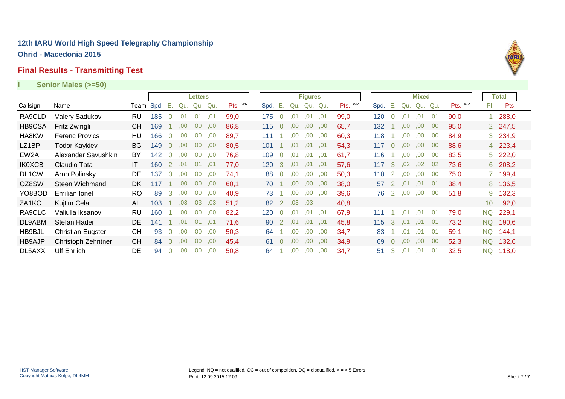#### **Final Results - Transmitting Test**

#### Callsign Name Team Spd. E. -Qu. -Qu. -Qu. Pts. <sup>wr</sup> Spd. E. -Qu. -Qu. -Qu. Pts. <sup>wr</sup> Spd. E. -Qu. -Qu. -Qu. Pts. <sup>wr</sup> **Letters Figures** Pts. **Mixed** Pl. Pts. **Total I Senior Males (>=50)** RA9CLD Valery Sadukov RU 185 0 ,01 ,01 ,01 99,0 175 0 ,01 ,01 ,01 99,0 120 0 ,01 ,01 ,01 90,0 1 288,0 HB9CSA Fritz Zwingli CH 169 1 ,00 ,00 ,00 86,8 115 0 ,00 ,00 ,00 65,7 132 1 ,00 ,00 ,00 95,0 2 247,5 HA8KW Ferenc Provics HU 166 0 ,00 ,00 ,00 89,7 111 1 ,00 ,00 ,00 60,3 118 1 ,00 ,00 ,00 84,9 3 234,9 LZ1BP Todor Kaykiev BG 149 0 ,00 ,00 ,00 80,5 101 1 ,01 ,01 ,01 54,3 117 0 ,00 ,00 ,00 88,6 4 223,4 EW2A Alexander Savushkin BY 142 0 ,00 ,00 ,00 76,8 109 0 ,01 ,01 ,01 61,7 116 1 ,00 ,00 ,00 83,5 5 222,0 02 6 7,6 117 2 ,02 02 03,2 117 160 1 17 160 1 17,0 120 3 101 ,01 ,01 ,01 ,01 ,01 ,01 ,02 ,02 ,04 IKOXCB Claudio DL1CW Arno Polinsky DE 137 0 ,00 ,00 ,00 74,1 88 0 ,00 ,00 ,00 50,3 110 2 ,00 ,00 ,00 75,0 7 199,4 OZ8SW Steen Wichmand DK 117 1 ,00 ,00 60.1 70 1 ,00,00 ,00 38.0 57 2 ,01 ,01 38.4 58 136.5 YO8BOD Emilian Ionel RO 89 3 ,00 ,00 ,00 40,9 73 1 ,00 ,00 ,00 39,6 76 2 ,00 ,00 ,00 51,8 9 132,3 ZA1KC Kujtim Cela AL 103 1 ,03 ,03 ,03 51,2 82 2 ,03 ,03 40,8 10 92,0 9,1 RA9CLC Valiulla Iksanov RU 160 1 ,<sup>00</sup> ,<sup>00</sup> ,00 82,2 120 0 ,<sup>00</sup> ,00 ,00 111 1 ,01 ,01 ,01 p1 DL9ABM Stefan Hader DE 141 1 ,01 ,01 ,01 71,6 90 2 ,01 ,01 ,01 45,8 115 3 ,01 ,01 ,01 73,2 NQ 190,6 HB9BJL Christian Eugster CH 93 0 ,00 ,00 ,00 50,3 64 1 ,00 ,00 ,00 34,7 83 1 ,01 ,01 ,01 59,1 NQ 144,1 HB9AJP Christoph Zehntner CH 84 0 ,00 ,00 ,00 45,4 61 0 ,00 ,00 ,00 34,9 69 0 ,00 ,00 ,00 52,3 NQ 132,6 DL5AXX Ulf Ehrlich DE 94 0 ,00 ,00 ,00 50,8 64 1 ,00 ,00 ,00 34,7 51 3 ,01 ,01 ,01 32,5 NQ 118,0

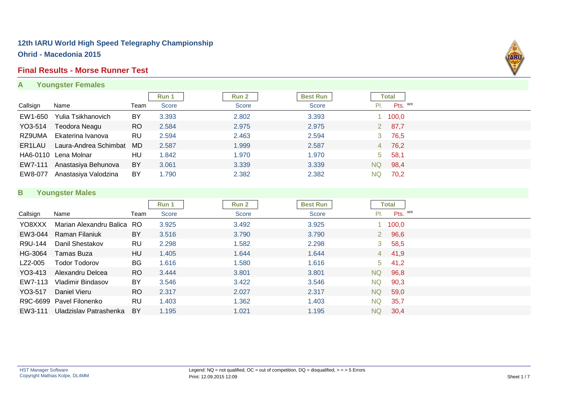#### **Final Results - Morse Runner Test**

**A Youngster Females**



|          |                       |           | Run 1        | Run 2 | <b>Best Run</b> |             | Total   |  |
|----------|-----------------------|-----------|--------------|-------|-----------------|-------------|---------|--|
| Callsign | Name                  | Team      | <b>Score</b> | Score | Score           |             | Pts. WR |  |
| EW1-650  | Yulia Tsikhanovich    | BY        | 3.393        | 2.802 | 3.393           |             | 1 100,0 |  |
| YO3-514  | Teodora Neagu         | <b>RO</b> | 2.584        | 2.975 | 2.975           | $2^{\circ}$ | 87,7    |  |
| RZ9UMA   | Ekaterina Ivanova     | RU        | 2.594        | 2.463 | 2.594           | 3           | 76,5    |  |
| ER1LAU   | Laura-Andrea Schimbat | MD.       | 2.587        | 1.999 | 2.587           |             | 4 76,2  |  |
|          | HA6-0110 Lena Molnar  | HU        | 1.842        | 1.970 | 1.970           | 5           | 58,1    |  |
| EW7-111  | Anastasiya Behunova   | BY        | 3.061        | 3.339 | 3.339           | <b>NQ</b>   | 98,4    |  |
| EW8-077  | Anastasiya Valodzina  | BY        | 1.790        | 2.382 | 2.382           | NQ.         | 70,2    |  |

#### **B Youngster Males**

|          |                            |               | Run 1 | Run 2 | <b>Best Run</b> |       | <b>Total</b> |  |
|----------|----------------------------|---------------|-------|-------|-----------------|-------|--------------|--|
| Callsign | Name                       | Team          | Score | Score | <b>Score</b>    | PI.   | Pts. WR      |  |
| YO8XXX   | Marian Alexandru Balica RO |               | 3.925 | 3.492 | 3.925           |       | 100,0        |  |
| EW3-044  | Raman Filaniuk             | BY            | 3.516 | 3.790 | 3.790           |       | 2 96,6       |  |
| R9U-144  | Danil Shestakov            | RU            | 2.298 | 1.582 | 2.298           |       | 3, 58, 5     |  |
| HG-3064  | Tamas Buza                 | HU            | 1.405 | 1.644 | 1.644           |       | 4 41,9       |  |
| LZ2-005  | <b>Todor Todorov</b>       | <b>BG</b>     | 1.616 | 1.580 | 1.616           | $5 -$ | 41,2         |  |
| YO3-413  | Alexandru Delcea           | <sub>RO</sub> | 3.444 | 3.801 | 3.801           | NQ    | 96,8         |  |
| EW7-113  | Vladimir Bindasov          | <b>BY</b>     | 3.546 | 3.422 | 3.546           | NQ.   | 90,3         |  |
| YO3-517  | Daniel Vieru               | <sub>RO</sub> | 2.317 | 2.027 | 2.317           | NQ.   | 59,0         |  |
|          | R9C-6699 Pavel Filonenko   | <b>RU</b>     | 1.403 | 1.362 | 1.403           | NQ.   | 35,7         |  |
| EW3-111  | Uladzislav Patrashenka     | BY            | 1.195 | 1.021 | 1.195           | NQ.   | 30,4         |  |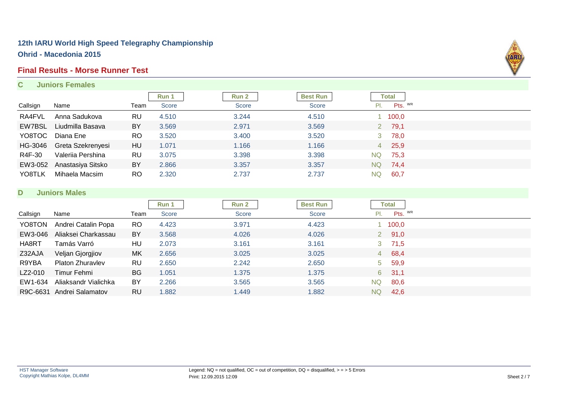#### **Final Results - Morse Runner Test**

#### **C Juniors Females**



|          |                   |           | Run 1 | Run 2        | <b>Best Run</b> |                | Total   |  |
|----------|-------------------|-----------|-------|--------------|-----------------|----------------|---------|--|
| Callsign | Name              | Team      | Score | <b>Score</b> | Score           |                | Pts. WR |  |
| RA4FVL   | Anna Sadukova     | RU        | 4.510 | 3.244        | 4.510           |                | 1 100,0 |  |
| EW7BSL   | Liudmilla Basava  | BY        | 3.569 | 2.971        | 3.569           |                | 2 79,1  |  |
| YO8TOC   | Diana Ene         | <b>RO</b> | 3.520 | 3.400        | 3.520           | 3 <sup>1</sup> | 78,0    |  |
| HG-3046  | Greta Szekrenyesi | HU        | 1.071 | 1.166        | 1.166           |                | 4 25,9  |  |
| R4F-30   | Valeriia Pershina | RU        | 3.075 | 3.398        | 3.398           | <b>NQ</b>      | 75,3    |  |
| EW3-052  | Anastasiya Sitsko | BY        | 2.866 | 3.357        | 3.357           | NQ             | 74,4    |  |
| YO8TLK   | Mihaela Macsim    | <b>RO</b> | 2.320 | 2.737        | 2.737           | <b>NQ</b>      | 60,7    |  |

#### **D Juniors Males**

|          |                      |           | Run 1        | Run 2 | <b>Best Run</b> |           | <b>Total</b>  |  |
|----------|----------------------|-----------|--------------|-------|-----------------|-----------|---------------|--|
| Callsign | Name                 | Team      | <b>Score</b> | Score | <b>Score</b>    | PI.       | Pts. WR       |  |
| YO8TON   | Andrei Catalin Popa  | <b>RO</b> | 4.423        | 3.971 | 4.423           |           | 100,0         |  |
| EW3-046  | Aliaksei Charkassau  | <b>BY</b> | 3.568        | 4.026 | 4.026           |           | $2\quad 91,0$ |  |
| HA8RT    | Tamás Varró          | HU        | 2.073        | 3.161 | 3.161           |           | 3, 71, 5      |  |
| Z32AJA   | Veljan Gjorgjiov     | MK        | 2.656        | 3.025 | 3.025           |           | 4 68,4        |  |
| R9YBA    | Platon Zhuravlev     | <b>RU</b> | 2.650        | 2.242 | 2.650           | $5 -$     | 59,9          |  |
| LZ2-010  | Timur Fehmi          | <b>BG</b> | 1.051        | 1.375 | 1.375           |           | $6\quad 31,1$ |  |
| EW1-634  | Aliaksandr Vialichka | BY        | 2.266        | 3.565 | 3.565           | <b>NQ</b> | 80,6          |  |
| R9C-6631 | Andrei Salamatov     | <b>RU</b> | 1.882        | 1.449 | .882            | NQ.       | 42,6          |  |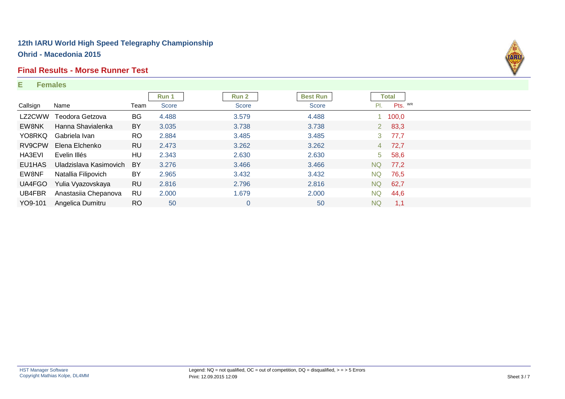#### **Final Results - Morse Runner Test**

#### **E Females**



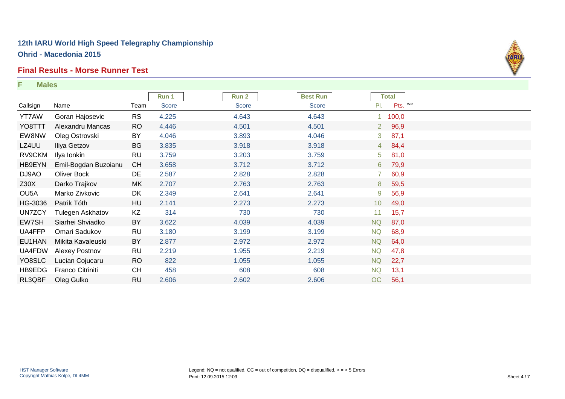#### **Final Results - Morse Runner Test**

**F Males**



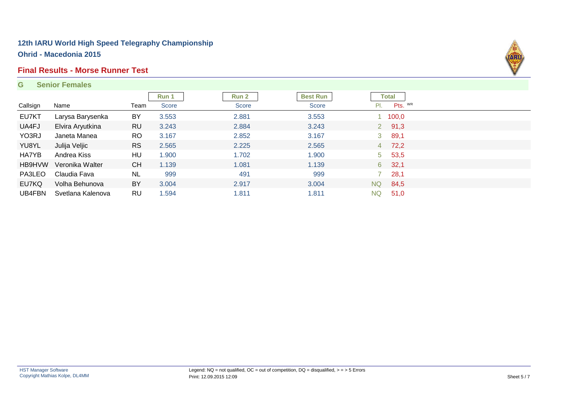#### **Final Results - Morse Runner Test**

#### **G Senior Females**



| Callsign | Name              | Team      | Run 1<br>Score | Run 2<br>Score | <b>Best Run</b><br><b>Score</b> | PI.            | <b>Total</b><br>Pts. WR |  |
|----------|-------------------|-----------|----------------|----------------|---------------------------------|----------------|-------------------------|--|
|          |                   |           |                |                |                                 |                |                         |  |
| EU7KT    | Larysa Barysenka  | <b>BY</b> | 3.553          | 2.881          | 3.553                           |                | 1 100,0                 |  |
| UA4FJ    | Elvira Aryutkina  | <b>RU</b> | 3.243          | 2.884          | 3.243                           |                | $2\quad 91,3$           |  |
| YO3RJ    | Janeta Manea      | RO.       | 3.167          | 2.852          | 3.167                           | 3 <sup>7</sup> | 89,1                    |  |
| YU8YL    | Julija Veljic     | <b>RS</b> | 2.565          | 2.225          | 2.565                           |                | 4 72,2                  |  |
| HA7YB    | Andrea Kiss       | HU        | 1.900          | 1.702          | 1.900                           | 5 <sub>1</sub> | 53,5                    |  |
| HB9HVW   | Veronika Walter   | <b>CH</b> | 1.139          | 1.081          | 1.139                           | 6 <sup>1</sup> | 32,1                    |  |
| PA3LEO   | Claudia Fava      | <b>NL</b> | 999            | 491            | 999                             |                | 28,1                    |  |
| EU7KQ    | Volha Behunova    | BY        | 3.004          | 2.917          | 3.004                           | <b>NQ</b>      | 84,5                    |  |
| UB4FBN   | Svetlana Kalenova | RU        | .594           | 1.811          | 1.811                           | <b>NQ</b>      | 51,0                    |  |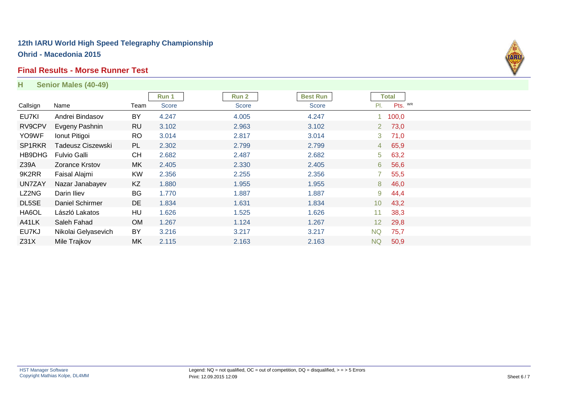#### **Final Results - Morse Runner Test**

| H                | Senior Males (40-49) |           |       |              |                 |                 |              |  |
|------------------|----------------------|-----------|-------|--------------|-----------------|-----------------|--------------|--|
|                  |                      |           | Run 1 | <b>Run 2</b> | <b>Best Run</b> |                 | <b>Total</b> |  |
| Callsign         | Name                 | Team      | Score | Score        | Score           | PI.             | Pts. WR      |  |
| EU7KI            | Andrei Bindasov      | BY        | 4.247 | 4.005        | 4.247           |                 | 100,0        |  |
| RV9CPV           | Evgeny Pashnin       | <b>RU</b> | 3.102 | 2.963        | 3.102           |                 | 2, 73, 0     |  |
| YO9WF            | Ionut Pitigoi        | <b>RO</b> | 3.014 | 2.817        | 3.014           | 3               | 71,0         |  |
| SP1RKR           | Tadeusz Ciszewski    | <b>PL</b> | 2.302 | 2.799        | 2.799           |                 | 4 65,9       |  |
| HB9DHG           | <b>Fulvio Galli</b>  | <b>CH</b> | 2.682 | 2.487        | 2.682           | 5 <sup>1</sup>  | 63,2         |  |
| Z39A             | Zorance Krstov       | MK        | 2.405 | 2.330        | 2.405           | 6               | 56,6         |  |
| 9K2RR            | Faisal Alajmi        | <b>KW</b> | 2.356 | 2.255        | 2.356           |                 | 55,5         |  |
| UN7ZAY           | Nazar Janabayev      | KZ        | 1.880 | 1.955        | 1.955           | 8               | 46,0         |  |
| LZ2NG            | Darin Iliev          | BG        | 1.770 | 1.887        | 1.887           | 9               | 44,4         |  |
| DL5SE            | Daniel Schirmer      | DE        | 1.834 | 1.631        | 1.834           | 10 <sup>°</sup> | 43,2         |  |
| HA6OL            | László Lakatos       | HU        | 1.626 | 1.525        | 1.626           | 11 <sub>1</sub> | 38,3         |  |
| A41LK            | Saleh Fahad          | <b>OM</b> | 1.267 | 1.124        | 1.267           | 12 <sup>2</sup> | 29,8         |  |
| EU7KJ            | Nikolai Gelyasevich  | <b>BY</b> | 3.216 | 3.217        | 3.217           | <b>NQ</b>       | 75,7         |  |
| Z <sub>31X</sub> | Mile Trajkov         | MK        | 2.115 | 2.163        | 2.163           | <b>NQ</b>       | 50,9         |  |

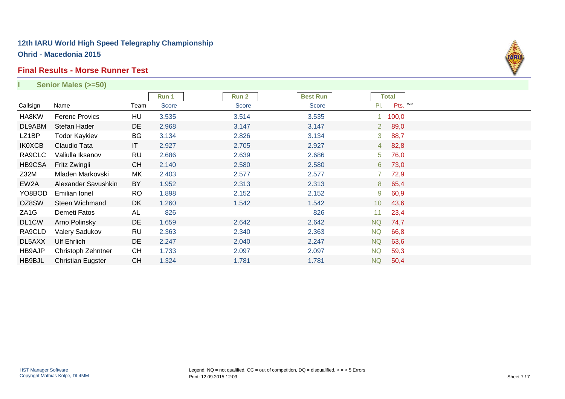#### **Final Results - Morse Runner Test**

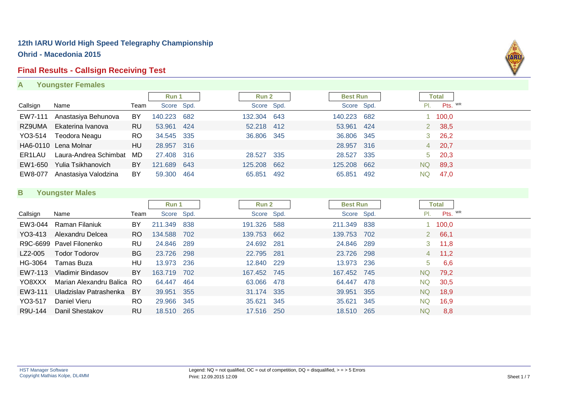#### **Final Results - Callsign Receiving Test**

**A Youngster Females**



#### **B Youngster Males**

|          |                            |           | Run 1       |     | Run 2       |            | <b>Best Run</b> |     |     | Total          |  |
|----------|----------------------------|-----------|-------------|-----|-------------|------------|-----------------|-----|-----|----------------|--|
| Callsign | Name                       | Team      | Score Spd.  |     |             | Score Spd. | Score Spd.      |     | PI. | Pts. WR        |  |
| EW3-044  | Raman Filaniuk             | <b>BY</b> | 211.349     | 838 | 191.326 588 |            | 211.349 838     |     |     | 1 100,0        |  |
| YO3-413  | Alexandru Delcea           | RO.       | 134.588 702 |     | 139.753 662 |            | 139.753 702     |     |     | 2 66,1         |  |
|          | R9C-6699 Pavel Filonenko   | RU.       | 24.846 289  |     | 24.692 281  |            | 24.846 289      |     |     | $3 \quad 11,8$ |  |
| LZ2-005  | <b>Todor Todorov</b>       | BG.       | 23.726 298  |     | 22.795 281  |            | 23.726 298      |     |     | $4$ 11,2       |  |
| HG-3064  | Tamas Buza                 | HU        | 13.973 236  |     | 12.840 229  |            | 13.973 236      |     | 5   | 6,6            |  |
| EW7-113  | Vladimir Bindasov          | <b>BY</b> | 163.719 702 |     | 167.452 745 |            | 167.452 745     |     | NQ. | 79,2           |  |
| YO8XXX   | Marian Alexandru Balica RO |           | 64.447      | 464 | 63.066 478  |            | 64.447          | 478 | NQ. | 30,5           |  |
| EW3-111  | Uladzislav Patrashenka     | BY        | 39.951      | 355 | 31.174 335  |            | 39.951          | 355 | NQ. | 18,9           |  |
| YO3-517  | Daniel Vieru               | RO.       | 29.966 345  |     | 35.621 345  |            | 35.621          | 345 | NQ. | 16,9           |  |
| R9U-144  | Danil Shestakov            | <b>RU</b> | 18.510 265  |     | 17.516 250  |            | 18.510          | 265 | NQ  | 8,8            |  |

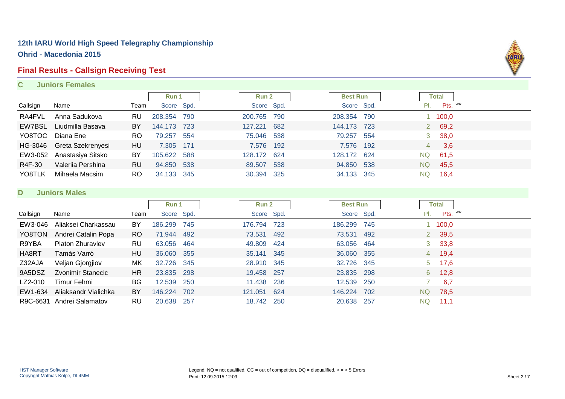# **Final Results - Callsign Receiving Test**

**C Juniors Females**



|          |                   |           | Run 1       |      | Run 2       |     | <b>Best Run</b> |     |     | Total               |         |
|----------|-------------------|-----------|-------------|------|-------------|-----|-----------------|-----|-----|---------------------|---------|
| Callsign | Name              | Team      | Score Spd.  |      | Score Spd.  |     | Score Spd.      |     | PI. |                     | Pts. WR |
| RA4FVL   | Anna Sadukova     | RU        | 208.354     | 790  | 200.765     | 790 | 208,354         | 790 |     | 100,0               |         |
| EW7BSL   | Liudmilla Basava  | BY        | 144.173 723 |      | 127.221     | 682 | 144.173         | 723 |     | 69,2<br>$2^{\circ}$ |         |
| YO8TOC   | Diana Ene         | <b>RO</b> | 79.257      | 554  | 75.046 538  |     | 79.257          | 554 | 3   | 38,0                |         |
| HG-3046  | Greta Szekrenyesi | HU        | 7.305 171   |      | 7.576       | 192 | 7.576 192       |     | 4   | 3,6                 |         |
| EW3-052  | Anastasiya Sitsko | BY        | 105.622 588 |      | 128.172 624 |     | 128.172         | 624 | NQ  | 61,5                |         |
| R4F-30   | Valeriia Pershina | <b>RU</b> | 94.850 538  |      | 89.507      | 538 | 94.850          | 538 | NQ  | 45,5                |         |
| YO8TLK   | Mihaela Macsim    | <b>RO</b> | 34.133      | -345 | 30.394 325  |     | 34.133          | 345 | NQ. | 16,4                |         |

#### **D Juniors Males**

|          |                           |           | Run 1       |       | Run 2       |       | <b>Best Run</b> |       |     | <b>Total</b>  |  |
|----------|---------------------------|-----------|-------------|-------|-------------|-------|-----------------|-------|-----|---------------|--|
| Callsign | Name                      | Team      | Score Spd.  |       | Score Spd.  |       | Score Spd.      |       | PI. | Pts. WR       |  |
| EW3-046  | Aliaksei Charkassau       | BY        | 186.299     | 745   | 176.794     | - 723 | 186.299         | 745   |     | 1 100,0       |  |
| YO8TON   | Andrei Catalin Popa       | RO.       | 71.944 492  |       | 73.531 492  |       | 73.531          | - 492 |     | 2 39,5        |  |
| R9YBA    | <b>Platon Zhuravlev</b>   | <b>RU</b> | 63.056      | 464   | 49.809      | - 424 | 63.056 464      |       |     | $3\quad 33,8$ |  |
| HA8RT    | Tamás Varró               | HU        | 36.060 355  |       | 35.141 345  |       | 36.060 355      |       |     | 4 19,4        |  |
| Z32AJA   | Veljan Gjorgjiov          | MK.       | 32.726 345  |       | 28.910 345  |       | 32.726 345      |       |     | $5\quad 17,6$ |  |
| 9A5DSZ   | Zvonimir Stanecic         | HR        | 23.835 298  |       | 19.458 257  |       | 23.835 298      |       | 6   | 12.8          |  |
| LZ2-010  | Timur Fehmi               | BG        | 12.539      | 250   | 11.438 236  |       | 12.539 250      |       |     | 6,7           |  |
| EW1-634  | Aliaksandr Vialichka      | BY        | 146.224 702 |       | 121.051 624 |       | 146.224         | 702   | NQ. | 78,5          |  |
|          | R9C-6631 Andrei Salamatov | RU        | 20.638      | - 257 | 18.742 250  |       | 20.638          | -257  | NQ  | $-11.1$       |  |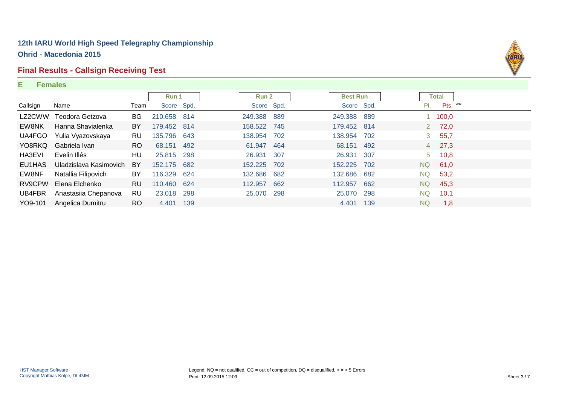#### **Final Results - Callsign Receiving Test**

#### **E Females**



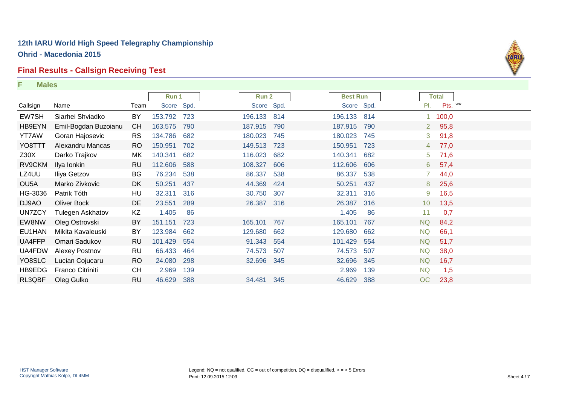# **Final Results - Callsign Receiving Test**

**F Males**

| marco             |                         |           |             |     |         |        |             |                 |     |                |              |         |
|-------------------|-------------------------|-----------|-------------|-----|---------|--------|-------------|-----------------|-----|----------------|--------------|---------|
|                   |                         |           | Run 1       |     |         | Run 2  |             | <b>Best Run</b> |     |                | <b>Total</b> |         |
| Callsign          | Name                    | Team      | Score Spd.  |     |         |        | Score Spd.  | Score Spd.      |     | PI.            |              | Pts. WR |
| EW7SH             | Siarhei Shviadko        | BY        | 153.792 723 |     |         |        | 196.133 814 | 196.133         | 814 |                | 1 100,0      |         |
| HB9EYN            | Emil-Bogdan Buzoianu    | <b>CH</b> | 163.575     | 790 | 187.915 |        | 790         | 187.915         | 790 | $2^{\circ}$    | 95,8         |         |
| <b>YT7AW</b>      | Goran Hajosevic         | <b>RS</b> | 134.786     | 682 | 180.023 |        | 745         | 180.023         | 745 | 3              | 91,8         |         |
| YO8TTT            | Alexandru Mancas        | RO        | 150.951     | 702 | 149.513 |        | 723         | 150.951         | 723 | 4              | 77,0         |         |
| Z30X              | Darko Trajkov           | MK        | 140.341     | 682 | 116.023 |        | 682         | 140.341         | 682 | 5 <sup>5</sup> | 71,6         |         |
| RV9CKM            | Ilya Ionkin             | <b>RU</b> | 112.606 588 |     | 108.327 |        | 606         | 112.606         | 606 | 6              | 57,4         |         |
| LZ4UU             | Iliya Getzov            | BG        | 76.234      | 538 |         | 86.337 | 538         | 86.337          | 538 |                | 44,0         |         |
| OU <sub>5</sub> A | Marko Zivkovic          | DK.       | 50.251      | 437 |         | 44.369 | 424         | 50.251          | 437 | 8              | 25,6         |         |
| HG-3036           | Patrik Tóth             | HU        | 32.311      | 316 |         | 30.750 | 307         | 32.311          | 316 | 9              | 16,5         |         |
| DJ9AO             | <b>Oliver Bock</b>      | DE        | 23.551      | 289 |         | 26.387 | 316         | 26.387          | 316 | 10             | 13,5         |         |
| UN7ZCY            | Tulegen Askhatov        | ΚZ        | 1.405       | 86  |         |        |             | 1.405           | 86  | 11             | 0,7          |         |
| EW8NW             | Oleg Ostrovski          | BY        | 151.151     | 723 | 165.101 |        | 767         | 165.101         | 767 | <b>NQ</b>      | 84,2         |         |
| EU1HAN            | Mikita Kavaleuski       | BY        | 123.984     | 662 | 129.680 |        | 662         | 129.680         | 662 | <b>NQ</b>      | 66,1         |         |
| UA4FFP            | Omari Sadukov           | <b>RU</b> | 101.429     | 554 |         | 91.343 | 554         | 101.429         | 554 | <b>NQ</b>      | 51,7         |         |
| UA4FDW            | Alexey Postnov          | <b>RU</b> | 66.433      | 464 |         | 74.573 | 507         | 74.573          | 507 | <b>NQ</b>      | 38,0         |         |
| YO8SLC            | Lucian Cojucaru         | <b>RO</b> | 24.080      | 298 |         | 32.696 | 345         | 32.696          | 345 | <b>NQ</b>      | 16,7         |         |
| HB9EDG            | <b>Franco Citriniti</b> | <b>CH</b> | 2.969       | 139 |         |        |             | 2.969           | 139 | <b>NQ</b>      | 1,5          |         |
| RL3QBF            | Oleg Gulko              | <b>RU</b> | 46.629      | 388 |         | 34.481 | 345         | 46.629          | 388 | OC             | 23,8         |         |

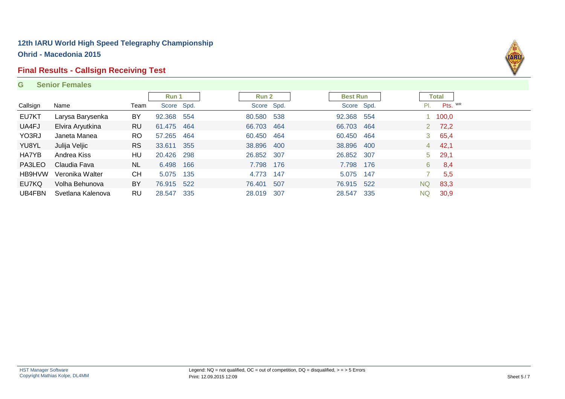### **Final Results - Callsign Receiving Test**

#### **G Senior Females**



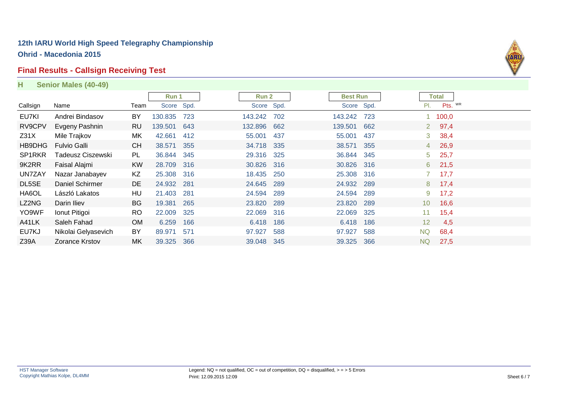#### **Final Results - Callsign Receiving Test**

**H Senior Males (40-49)**



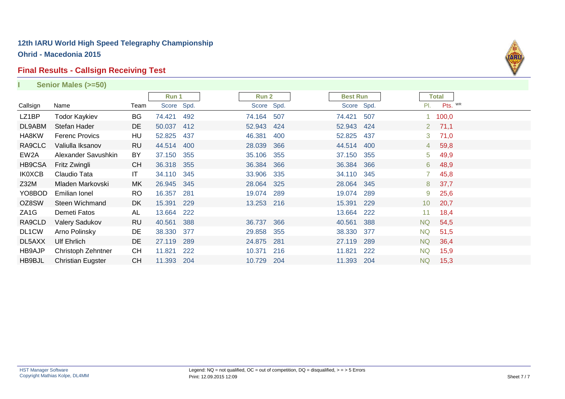# **Final Results - Callsign Receiving Test**

|                   | Senior Males (>=50)      |           |            |     |            |     |                 |     |                 |              |  |
|-------------------|--------------------------|-----------|------------|-----|------------|-----|-----------------|-----|-----------------|--------------|--|
|                   |                          |           | Run 1      |     | Run 2      |     | <b>Best Run</b> |     |                 | <b>Total</b> |  |
| Callsign          | Name                     | Team      | Score Spd. |     | Score Spd. |     | Score Spd.      |     | PI.             | Pts. WR      |  |
| LZ1BP             | <b>Todor Kaykiev</b>     | BG        | 74.421     | 492 | 74.164     | 507 | 74.421          | 507 |                 | 1 100,0      |  |
| DL9ABM            | Stefan Hader             | DE        | 50.037     | 412 | 52.943     | 424 | 52.943          | 424 | $2^{\circ}$     | 71,1         |  |
| HA8KW             | Ferenc Provics           | HU        | 52.825     | 437 | 46.381     | 400 | 52.825          | 437 | 3               | 71,0         |  |
| RA9CLC            | Valiulla Iksanov         | <b>RU</b> | 44.514     | 400 | 28.039     | 366 | 44.514          | 400 | $4 \square$     | 59,8         |  |
| EW2A              | Alexander Savushkin      | BY        | 37.150     | 355 | 35.106     | 355 | 37.150          | 355 | 5 <sup>1</sup>  | 49,9         |  |
| HB9CSA            | Fritz Zwingli            | <b>CH</b> | 36.318 355 |     | 36.384     | 366 | 36.384          | 366 | 6               | 48,9         |  |
| <b>IK0XCB</b>     | Claudio Tata             | IT.       | 34.110     | 345 | 33.906     | 335 | 34.110          | 345 |                 | 45,8         |  |
| Z32M              | Mladen Markovski         | МK        | 26.945     | 345 | 28.064 325 |     | 28.064          | 345 | 8               | 37,7         |  |
| YO8BOD            | Emilian Ionel            | <b>RO</b> | 16.357     | 281 | 19.074     | 289 | 19.074          | 289 | 9               | 25,6         |  |
| OZ8SW             | Steen Wichmand           | DK        | 15.391     | 229 | 13.253 216 |     | 15.391          | 229 | 10 <sup>°</sup> | 20,7         |  |
| ZA <sub>1</sub> G | Demeti Fatos             | AL        | 13.664     | 222 |            |     | 13.664          | 222 | 11              | 18,4         |  |
| RA9CLD            | Valery Sadukov           | <b>RU</b> | 40.561     | 388 | 36.737     | 366 | 40.561          | 388 | <b>NQ</b>       | 54,5         |  |
| DL1CW             | Arno Polinsky            | DE        | 38.330     | 377 | 29.858     | 355 | 38.330          | 377 | NQ.             | 51,5         |  |
| DL5AXX            | <b>Ulf Ehrlich</b>       | DE        | 27.119     | 289 | 24.875     | 281 | 27.119          | 289 | NQ              | 36,4         |  |
| HB9AJP            | Christoph Zehntner       | <b>CH</b> | 11.821     | 222 | 10.371     | 216 | 11.821          | 222 | NQ              | 15,9         |  |
| HB9BJL            | <b>Christian Eugster</b> | <b>CH</b> | 11.393     | 204 | 10.729     | 204 | 11.393          | 204 | NQ.             | 15,3         |  |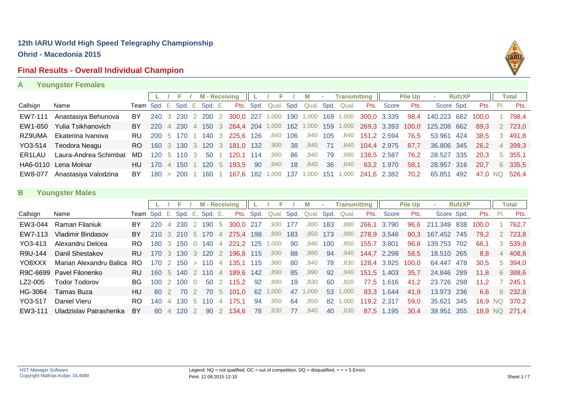#### **Final Results - Overall Individual Champion**



#### **A Youngster Females**

|          |                       |                              |  |             |  | L / F / M-Receiving                           |          |    | м       | <b>Contract</b> |      | <b>Transmitting</b>   |                                                  | <b>Pile Up</b> | ×.                                                                                     | <b>RufzXP</b> |          | <b>Total</b>  |
|----------|-----------------------|------------------------------|--|-------------|--|-----------------------------------------------|----------|----|---------|-----------------|------|-----------------------|--------------------------------------------------|----------------|----------------------------------------------------------------------------------------|---------------|----------|---------------|
| Callsign | Name                  | Team Spd. E. Spd. E. Spd. E. |  |             |  |                                               |          |    |         |                 |      |                       | Pts. Spd. Qual. Spd. Qual. Spd. Qual. Pts. Score | Pts.           | Score Spd.                                                                             |               | Pts. Pl. | Pts.          |
| EW7-111  | Anastasiya Behunova   | BY.                          |  |             |  | 240 3 230 2 200 2 300,0 227 1,000 190 1,000   |          |    |         |                 |      | 169 1,000 300,0 3.339 |                                                  |                | 98,4 140.223 682                                                                       |               | 100.0    | 798.4         |
| EW1-650  | Yulia Tsikhanovich    |                              |  |             |  |                                               |          |    |         |                 |      |                       |                                                  |                | BY 220 4 230 4 150 3 264,4 204 1,000 162 1,000 159 1,000 269,3 3.393 100,0 125.208 662 |               | 89,3     | 2 723,0       |
| RZ9UMA   | Ekaterina Ivanova     |                              |  |             |  | RU 200 5 170 1 140 3 225,6 126                | ,840 106 |    | ,940    | 105             |      | ,840 151,2 2.594      |                                                  | 76.5           | 53.961 424                                                                             |               | 38.5     | 3 491,8       |
| YO3-514  | Teodora Neagu         |                              |  |             |  | RO 160 3 130 3 120 3 181,0 132 ,900           |          | 38 | ,840 71 |                 | ,840 | 104,4 2.975           |                                                  | 87.7           | 36.806 345                                                                             |               | 26.2     | 4 399,3       |
| ER1LAU   | Laura-Andrea Schimbat | MD.                          |  | 120 5 110 3 |  | 50 1 120,1 114                                | ,990     | 86 | ,940    | - 79            | ,990 | 138,5 2.587           |                                                  | 76.2           | 28.527 335                                                                             |               | 20.3     | 5 355,1       |
|          | HA6-0110 Lena Molnar  | HU I                         |  |             |  | 170 4 150 1 120 5 193.5 90                    | ,940     | 18 | .840    | - 36            | .840 |                       | 63,2 1.970                                       | 58.1           | 28,957 316                                                                             |               | 20.7     | 6 335.5       |
| EW8-077  | Anastasiya Valodzina  | BY.                          |  |             |  | $180 > 200$ 1 160 1 167.6 182 1,000 137 1,000 |          |    |         | -151            |      | 1,000 241,6 2.382     |                                                  | 70.2           | 65.851                                                                                 | 492           |          | 47.0 NQ 526.4 |

#### **B Youngster Males**

|          |                          |                              |      |                |                 |          | <b>M</b> - Receiving |                |                         |           |            |     |            |     | <b>Transmitting</b> |             |             | <b>Pile Up</b> | <b>COL</b>  | <b>RufzXP</b> |                |      | Total   |
|----------|--------------------------|------------------------------|------|----------------|-----------------|----------|----------------------|----------------|-------------------------|-----------|------------|-----|------------|-----|---------------------|-------------|-------------|----------------|-------------|---------------|----------------|------|---------|
| Callsign | Name                     | Team Spd. E. Spd. E. Spd. E. |      |                |                 |          |                      |                |                         | Pts. Spd. | Qual. Spd. |     | Qual. Spd. |     | Qual.               | Pts.        | Score       | Pts.           | Score Spd.  |               | Pts.           | -PI. | Pts.    |
| EW3-044  | Raman Filaniuk           | BY                           | 220  |                | <b>230</b>      |          | 2 190                | - 5            | 300.0 217               |           | .930       | 177 | ,880       | 183 | ,880                | 266,1 3.790 |             | 96,6           | 211.349 838 |               | 100.0          |      | 762.7   |
| EW7-113  | Vladimir Bindasov        | BY.                          | 210  |                | 3 210 5 170     |          |                      | 4              | 275.4 198               |           | .990       | 183 | ,950       | 173 | ,990                | 278,9 3.546 |             | 90,3           | 167.452 745 |               | 79.2           |      | 2 723.8 |
| YO3-413  | Alexandru Delcea         | RO.                          | 180. |                | 3 150           | $\Omega$ | 140                  | 4              | 221.2 125               |           | 000. ا     | 90  | ,940       | 100 | ,950                | 155,7       | 3.801       | 96.8           | 139,753 702 |               | 66.1           |      | 3 539.8 |
| R9U-144  | Danil Shestakov          | RU                           | 170  |                |                 |          |                      |                | 3 130 3 120 2 196.8 115 |           | ,930       | 88  | ,980       | 94  | ,940                |             | 144,7 2.298 | 58.5           | 18.510 265  |               | 8.8            |      | 4 408.8 |
| YO8XXX   | Marian Alexandru Balica  | RO.                          | 170- |                | 2 150 > 110 4   |          |                      |                | 135.1 115               |           | ,980       | 80  | ,940       | 78  | ,830                |             | 128,4 3.925 | 100.0          | 64.447 478  |               | 30.5           |      | 5 394,0 |
|          | R9C-6699 Pavel Filonenko | <b>RU</b>                    |      |                | 160 5 140 2 110 |          |                      | $4 \cdot$      | 189.6 142               |           | ,890       | 85  | ,990       | 92  | ,940                |             | 151,5 1.403 | 35,7           | 24.846 289  |               | 11.8           |      | 6 388.6 |
| LZ2-005  | Todor Todorov            | BG.                          | 100  |                | 2 100           | - 0      |                      |                | 50 2 115.2              | 92        | ,990       | 19  | ,830       | 60  | ,820                |             | 77,5 1.616  | 41.2           | 23.726 298  |               | 11.2           |      | 7 245.1 |
| HG-3064  | Tamas Buza               | HU                           | -80. | $\mathcal{P}$  | 70              |          |                      | 70 5           | 101.0                   | 62        | 1,000      | 47  | 1,000      | 53  | 1,000               |             | 83,3 1.644  | 41.9           | 13.973 236  |               | 6.6            |      | 8 232.8 |
| YO3-517  | Daniel Vieru             | RO                           | 140. | $\overline{4}$ | 130 5 110       |          |                      | $\overline{4}$ | 175.1                   | 94        | .950       | 64  | ,950       | 82  | 1,000               | 119,2 2.317 |             | 59.0           | 35.621 345  |               | 16.9           | NQ.  | -370.2  |
| EW3-111  | Uladzislav Patrashenka   | BY                           | -80  | $\overline{4}$ | 120             |          |                      |                | 90 2 134.6              | 78        | ,830       | 77  | ,940       | 40  | ,830                |             | 87.5 1.195  | 30.4           | 39.951 355  |               | <b>18.9 NQ</b> |      | 271.4   |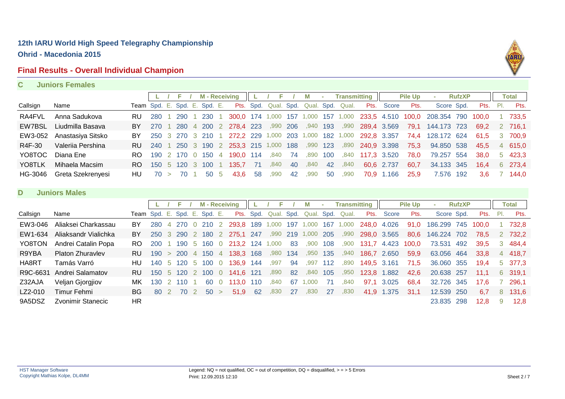#### **Final Results - Overall Individual Champion**



#### **C Juniors Females**

|          |                      |              |      |                | F       |                | <b>M</b> - Receiving |                |           |           | Е          |     | М          |        | <b>Transmitting</b> |             |              | <b>Pile Up</b> |             | <b>RufzXP</b> |       |     | <b>Total</b> |
|----------|----------------------|--------------|------|----------------|---------|----------------|----------------------|----------------|-----------|-----------|------------|-----|------------|--------|---------------------|-------------|--------------|----------------|-------------|---------------|-------|-----|--------------|
| Callsign | Name                 | Team         | Spd. | Έ.             | Spd. E. |                | Spd. E.              |                |           | Pts. Spd. | Qual. Spd. |     | Qual. Spd. |        | Qual.               | Pts.        | <b>Score</b> | Pts.           | Score Spd.  |               | Pts.  | PI. | Pts.         |
| RA4FVL   | Anna Sadukova        | RU           | 280  |                | 290     |                | 230                  |                | 300.0     |           | 174 1,000  | 157 | 1,000      | 157    | 1,000               |             | 233,5 4.510  | 100,0          | 208.354     | 790           | 100,0 |     | 733,5        |
| EW7BSL   | Liudmilla Basava     | BY           | 270  |                | 280     | $\overline{4}$ | 200                  | 2              | 278,4 223 |           | .990       | 206 | .940       | 193    | ,990                | 289,4 3.569 |              | 79,1           | 144.173     | 723           | 69,2  |     | 2 716,1      |
| EW3-052  | Anastasiya Sitsko    | BY           | 250  | 3              | 270     | $\mathbf{3}$   | 210                  |                | 272,2 229 |           | 1,000      | 203 | 1,000      | 182    | ,000                | 292,8 3.357 |              | 74,4           | 128.172 624 |               | 61,5  | 3   | 700,9        |
| R4F-30   | Valeriia Pershina    | <b>RU</b>    | 240  |                | 250     |                | 190                  |                | 253,3     | 215       | 1,000      | 188 | ,990       | 123    | ,890                | 240,9       | 3.398        | 75,3           | 94.850      | 538           | 45,5  |     | 4 615,0      |
| YO8TOC   | Diana Ene            | RO           | 190  | 2              | 170     | $\Omega$       | 150                  | 4              | 190.0     | 114       | ,840       | 74  | ,890       | 100    | ,840                | 117,3       | 3.520        | 78,0           | 79.257      | 554           | 38,0  | 5   | 423,3        |
| YO8TLK   | Mihaela Macsim       | <b>RO</b>    | 150  | -5             | 120     | 3              | 100                  |                | 135,7     | 71        | ,840       | 40  | ,840       | 42     | ,840                | 60,6        | 2.737        | 60,7           | 34.133      | 345           | 16,4  | 6   | 273,4        |
| HG-3046  | Greta Szekrenyesi    | HU           | 70   | $\geq$         | 70      |                | 50                   | 5              | 43,6      | 58        | ,990       | 42  | ,990       | 50     | .990                | 70,9        | 1.166        | 25,9           | 7.576       | 192           | 3,6   |     | 144,0        |
|          |                      |              |      |                |         |                |                      |                |           |           |            |     |            |        |                     |             |              |                |             |               |       |     |              |
| D        | <b>Juniors Males</b> |              |      |                |         |                |                      |                |           |           |            |     |            |        |                     |             |              |                |             |               |       |     |              |
|          |                      |              |      |                |         |                |                      |                |           |           |            |     |            |        |                     |             |              |                |             |               |       |     |              |
|          |                      |              | L.   |                | F       |                | <b>M</b> - Receiving |                |           |           | F          |     | M          | $\sim$ | <b>Transmitting</b> |             |              | <b>Pile Up</b> | $\sim$      | <b>RufzXP</b> |       |     | <b>Total</b> |
| Callsign | Name                 | Team Spd. E. |      |                | Spd. E. |                | Spd. E.              |                |           | Pts. Spd. | Qual. Spd. |     | Qual. Spd. |        | Qual.               | Pts.        | <b>Score</b> | Pts.           | Score Spd.  |               | Pts.  | PI. | Pts.         |
| EW3-046  | Aliaksei Charkassau  | BY           | 280  | $\overline{4}$ | 270     |                | 210                  | 2              | 293,8     | 189       | 1,000      | 197 | 1.000      | 167    | 1,000               | 248,0       | 4.026        | 91,0           | 186.299     | 745           | 100,0 |     | 732,8        |
| EW1-634  | Aliaksandr Vialichka | BY           | 250  | $\mathbf{3}$   | 290     |                | 2 180                | $\overline{2}$ | 275,1 247 |           | ,990       | 219 | 1,000      | 205    | ,990                | 298,0 3.565 |              | 80,6           | 146.224 702 |               | 78,5  |     | 2 732,2      |
| YO8TON   | Andrei Catalin Popa  | RO.          | 200  |                | 190     | -5             | 160                  | $\overline{0}$ | 213,2     | 124       | 1,000      | 83  | ,900       | 108    | ,900                | 131,7       | 4.423        | 100,0          | 73.531      | 492           | 39,5  | 3   | 484,4        |
| R9YBA    | Platon Zhuravlev     | RU           | 190  | $\geq$         | 200     | $\overline{4}$ | 150                  | 4              | 138,3     | 168       | ,980       | 134 | ,950       | 135    | ,940                | 186,7       | 2.650        | 59,9           | 63.056      | 464           | 33,8  |     | 4 418,7      |
| HA8RT    | Tamás Varró          | HU           | 140  | 5              | 120     | 5              | 100                  | $\Omega$       | 136.9     | 144       | .997       | 94  | .997       | 112    | .890                | 149,5       | 3.161        | 71,5           | 36.060 355  |               | 19,4  | 5.  | 377,3        |
| R9C-6631 | Andrei Salamatov     | <b>RU</b>    | 150  | -5             | 120     | $\overline{2}$ | 100                  | $\overline{0}$ | 141,6     | 121       | ,890       | 82  | ,840       | 105    | ,950                |             | 123,8 1.882  | 42,6           | 20.638      | 257           | 11,1  | 6   | 319,1        |
| Z32AJA   | Veljan Gjorgjiov     | МK           | 130  | 2              | 110     |                | 60                   | $\overline{0}$ | 113,0     | 110       | .840       | 67  | ,000       | 71     | .840                | 97,1        | 3.025        | 68,4           | 32.726      | 345           | 17,6  |     | 296,1        |
| LZ2-010  | Timur Fehmi          | BG           | 80   | 2              | 70      | 2              | 50                   | $\geq$         | 51,9      | 62        | ,830       | 27  | ,830       | 27     | ,830                | 41,9        | 1.375        | 31,1           | 12.539      | 250           | 6,7   | 8   | 131,6        |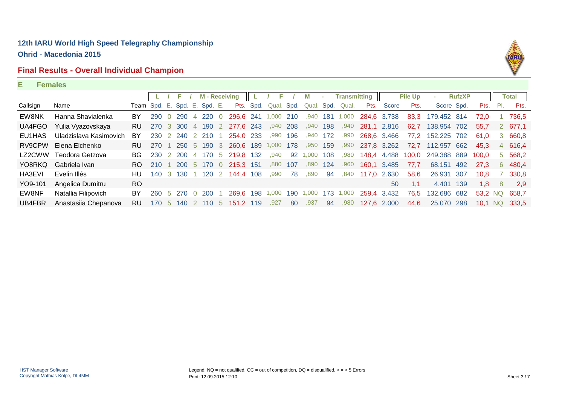# **Final Results - Overall Individual Champion**



#### **E Females**

|          |                        |                              |      | F.                | <b>M-Receiving</b> |                             |      | F         |      | М      | $\sim$ | <b>Transmitting</b> |             |             | <b>Pile Up</b> |             | <b>RufzXP</b> |         |     | Total   |
|----------|------------------------|------------------------------|------|-------------------|--------------------|-----------------------------|------|-----------|------|--------|--------|---------------------|-------------|-------------|----------------|-------------|---------------|---------|-----|---------|
| Callsign | Name                   | Team Spd. E. Spd. E. Spd. E. |      |                   |                    | Pts.                        | Spd. | Qual.     | Spd. | Qual.  | Spd.   | Qual.               | Pts.        | Score       | Pts.           | Score Spd.  |               | Pts.    | PI. | Pts.    |
| EW8NK    | Hanna Shavialenka      | BY                           | 290  | 0 290             | 4 220 0            | 296,6 241                   |      | 1,000 210 |      | .940   |        | 181 1,000           | 284,6 3.738 |             | 83,3           | 179.452 814 |               | 72.0    |     | 736,5   |
| UA4FGO   | Yulia Vyazovskaya      | RU.                          |      |                   |                    | 270 3 300 4 190 2 277.6 243 |      | ,940 208  |      | ,940   | 198    | ,940                | 281,1 2.816 |             | 62,7           | 138,954 702 |               | 55.7    |     | 2 677.1 |
| EU1HAS   | Uladzislava Kasimovich | BY                           | 230  | 2 240 2 210       |                    | 254,0 233                   |      | .990      | 196  | .940   | 172    | .990                |             | 268,6 3.466 | 77.2           | 152.225     | 702           | 61.0    | 3   | 660,8   |
| RV9CPW   | Elena Elchenko         | RU.                          | -270 | 250 5 190 3       |                    | 260,6 189 1,000 178         |      |           |      | ,950   | 159    | ,990                | 237,8 3.262 |             | 72.7           | 112.957 662 |               | 45.3    |     | 4 616.4 |
| LZ2CWW   | Teodora Getzova        | BG.                          |      |                   |                    | 230 2 200 4 170 5 219,8 132 |      | ,940      | 92   | 000. ا | 108    | ,980                |             | 148,4 4.488 | 100.0          | 249.388 889 |               | 100.0   |     | 5 568.2 |
| YO8RKQ   | Gabriela Ivan          | RO.                          | -210 |                   |                    | 200 5 170 0 215,3 151       |      | .880      | 107  | .890   | 124    | .960                | 160.1 3.485 |             | 77.7           | 68.151      | 492           | 27.3    |     | 6 480.4 |
| HA3EVI   | Evelin Illés           | HU                           | 140  | 3 130             |                    | 120 2 144.4 108             |      | .990      | 78   | .890   | 94     | .840                | 117,0 2.630 |             | 58,6           | 26.931      | - 307         | 10.8    |     | 330.8   |
| YO9-101  | Angelica Dumitru       | R <sub>O</sub>               |      |                   |                    |                             |      |           |      |        |        |                     |             | 50          | 1.1            | 4.401 139   |               | 1.8     | 8   | 2.9     |
| EW8NF    | Natallia Filipovich    | BY                           | 260  | 5 270             | 200                | 269.6 198                   |      | 000.1     | 190  | .000   | 173    | 1,000               | 259.4 3.432 |             | 76.5           | 132.686 682 |               | 53.2 NO |     | 658.7   |
| UB4FBR   | Anastasiia Chepanova   | RU                           |      | 170 5 140 2 110 5 |                    | 151.2 119                   |      | ,927      | 80   | ,937   | 94     | ,980                |             | 127,6 2.000 | 44,6           | 25,070 298  |               | 10.1 NQ |     | 333.5   |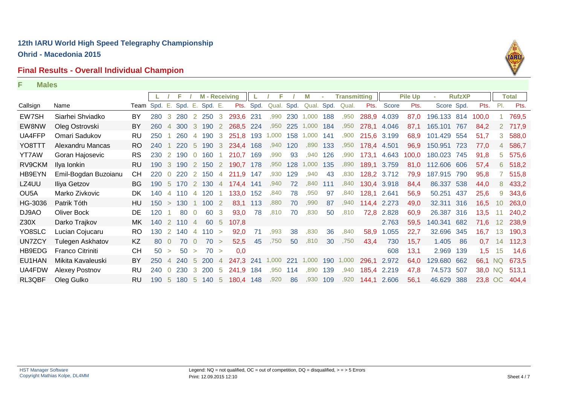# **Final Results - Overall Individual Champion**



|                   |                         |              |     |                |         |                | <b>M</b> - Receiving |                |           |           | F     |      | M     |      | <b>Transmitting</b> |       |             | <b>Pile Up</b> |             | <b>RufzXP</b> |         |                 | <b>Total</b> |
|-------------------|-------------------------|--------------|-----|----------------|---------|----------------|----------------------|----------------|-----------|-----------|-------|------|-------|------|---------------------|-------|-------------|----------------|-------------|---------------|---------|-----------------|--------------|
| Callsign          | Name                    | Team Spd. E. |     |                | Spd. E. |                | Spd. E.              |                |           | Pts. Spd. | Qual. | Spd. | Qual. | Spd. | Qual.               | Pts.  | Score       | Pts.           | Score Spd.  |               | Pts.    | PI.             | Pts.         |
| EW7SH             | Siarhei Shviadko        | BY           | 280 | -3             | 280     | $\overline{2}$ | 250 3                |                | 293,6 231 |           | ,990  | 230  | 1,000 | 188  | ,950                | 288,9 | 4.039       | 87,0           | 196.133 814 |               | 100,0   |                 | 769,5        |
| EW8NW             | Oleg Ostrovski          | BY           | 260 | $\overline{4}$ | 300     |                | 190                  |                | 268,5 224 |           | .950  | 225  | 1,000 | 184  | ,950                | 278,1 | 4.046       | 87,1           | 165.101     | 767           | 84,2    |                 | 2 717,9      |
| UA4FFP            | Omari Sadukov           | RU           | 250 |                | 260     | $\overline{4}$ | 190                  | 3              | 251,8     | 193       | 1,000 | 158  | 1,000 | 141  | ,900                | 215,6 | 3.199       | 68,9           | 101.429     | 554           | 51,7    | 3               | 588,0        |
| YO8TTT            | Alexandru Mancas        | RO           | 240 |                | 220     | $5^{\circ}$    | 190                  | 3              | 234,4 168 |           | ,940  | 120  | ,890  | 133  | ,950                |       | 178,4 4.501 | 96,9           | 150.951     | 723           | 77,0    | 4               | 586,7        |
| <b>YT7AW</b>      | Goran Hajosevic         | <b>RS</b>    | 230 |                | 2 190   |                | $0$ 160              |                | 210,7 169 |           | ,990  | 93   | ,940  | 126  | ,990                | 173,1 | 4.643       | 100,0          | 180.023     | 745           | 91,8    | 5 <sup>1</sup>  | 575,6        |
| RV9CKM            | Ilya Ionkin             | <b>RU</b>    | 190 |                | 3 190   |                | 2 150                | $\overline{2}$ | 190,7 178 |           | ,950  | 128  | 1,000 | 135  | ,890                |       | 189,1 3.759 | 81,0           | 112.606 606 |               | 57,4    |                 | 6 518,2      |
| HB9EYN            | Emil-Bogdan Buzoianu    | СH           | 220 | $\Omega$       | 220     | 2              | 150                  | 4              | 211,9     | 147       | ,930  | 129  | ,940  | 43   | ,830                |       | 128,2 3.712 | 79,9           | 187.915     | 790           | 95,8    |                 | 7 515,8      |
| LZ4UU             | Iliya Getzov            | <b>BG</b>    | 190 | -5             | 170     | 2              | 130                  | 4              | 174.4     | 141       | ,940  | 72   | .840  | 111  | ,840                | 130,4 | 3.918       | 84,4           | 86.337      | 538           | 44,0    | 8               | 433,2        |
| OU <sub>5</sub> A | Marko Zivkovic          | DK           | 140 | 4              | 110     | 4              | 120                  |                | 133,0     | 152       | ,840  | 78   | ,950  | 97   | ,840                | 128,1 | 2.641       | 56,9           | 50.251      | 437           | 25,6    | 9               | 343,6        |
| HG-3036           | Patrik Tóth             | HU           | 150 | $\geq$         | 130     |                | 1002                 |                | 83,1 113  |           | ,880  | 70   | ,990  | 87   | ,940                | 114,4 | 2.273       | 49,0           | 32.311 316  |               | 16,5    | 10              | 263,0        |
| DJ9AO             | <b>Oliver Bock</b>      | DE           | 120 |                | 80      | $\overline{0}$ | 60                   | -3             | 93,0      | 78        | ,810  | 70   | ,830  | 50   | .810                | 72,8  | 2.828       | 60,9           | 26.387 316  |               | 13,5    | 11              | 240,2        |
| Z30X              | Darko Trajkov           | MK.          | 140 |                | 2 110   | $\overline{4}$ | 60 5                 |                | 107,8     |           |       |      |       |      |                     |       | 2.763       | 59,5           | 140.341 682 |               | 71,6    | 12 <sub>2</sub> | 238,9        |
| YO8SLC            | Lucian Cojucaru         | <b>RO</b>    | 130 | 2              | 140     | 4              | 110                  | $\geq$         | 92,0      | 71        | ,993  | 38   | ,830  | 36   | ,840                | 58,9  | 1.055       | 22,7           | 32.696      | 345           | 16,7    | 13              | 190,3        |
| <b>UN7ZCY</b>     | Tulegen Askhatov        | KZ           | 80  | $\Omega$       | 70      |                | 70                   | $\geq$         | 52,5      | 45        | .750  | 50   | ,810  | 30   | .750                | 43,4  | 730         | 15,7           | 1.405       | 86            | 0,7     | 14              | 112,3        |
| HB9EDG            | <b>Franco Citriniti</b> | <b>CH</b>    | 50  | $\geq$         | 50      | $\geq$         | 70 >                 |                | 0,0       |           |       |      |       |      |                     |       | 608         | 13,1           | 2.969       | 139           | 1,5     | 15              | 14,6         |
| EU1HAN            | Mikita Kavaleuski       | BY           | 250 |                | 4 240   | $-5$           | 200                  | $\overline{4}$ | 247,3 241 |           | 1,000 | 221  | 1,000 |      | 190 1,000           | 296,1 | 2.972       | 64,0           | 129.680 662 |               | 66,1 NQ |                 | 673,5        |
| UA4FDW            | Alexey Postnov          | <b>RU</b>    | 240 | $\Omega$       | 230     | 3              | 200                  | -5             | 241,9     | 184       | ,950  | 114  | ,890  | 139  | ,940                | 185,4 | 2.219       | 47,8           | 74.573 507  |               | 38,0 NQ |                 | 513,1        |
| RL3QBF            | Oleg Gulko              | <b>RU</b>    | 190 | -5             | 180     | -5             | 140 5                |                | 180,4 148 |           | ,920  | 86   | ,930  | 109  | ,920                | 144,1 | 2.606       | 56,1           | 46.629 388  |               | 23,8 OC |                 | 404,4        |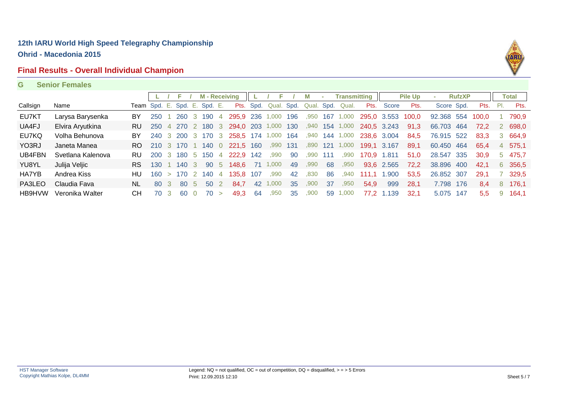### **Final Results - Overall Individual Champion**



**G Senior Females**

|          |                   |           |                              |        | F          |                | <b>M</b> - Receiving |                |                 |      | Е          |     | М     | ×.   | Transmitting |             |             | <b>Pile Up</b> |            | <b>RufzXP</b> |               |     | <b>Total</b> |
|----------|-------------------|-----------|------------------------------|--------|------------|----------------|----------------------|----------------|-----------------|------|------------|-----|-------|------|--------------|-------------|-------------|----------------|------------|---------------|---------------|-----|--------------|
| Callsign | Name              |           | Team Spd. E. Spd. E. Spd. E. |        |            |                |                      |                | Pts.            | Spd. | Qual. Spd. |     | Qual. | Spd. | Qual.        | Pts.        | Score       | Pts.           | Score Spd. |               | Pts.          | PI. | Pts.         |
| EU7KT    | Larysa Barysenka  | BY        | 250                          |        | <b>260</b> |                | 3 190                | -4             | 295.9 236 1,000 |      |            | 196 | .950  | 167  | 1,000        |             | 295.0 3.553 | 100,0          | 92.368 554 |               | 100.0         |     | 790,9        |
| UA4FJ    | Elvira Aryutkina  | <b>RU</b> | <b>250</b>                   | 4      | - 270      |                | 2 180                | - 3            | 294.0 203 1,000 |      |            | 130 | .940  | 154  | 1,000        |             | 240,5 3.243 | 91,3           | 66.703 464 |               | 72.2          |     | 698,0        |
| EU7KQ    | Volha Behunova    | BY        | 240                          | -3-    | - 200      | $\mathbf{3}$   | 170 3                |                | 258.5 174 1,000 |      |            | 164 | ,940  | 144  | 000.         |             | 238,6 3.004 | 84,5           | 76.915 522 |               | 83,3          | 3.  | 664,9        |
| YO3RJ    | Janeta Manea      | RO.       | 210                          |        | 3 170      |                | 140                  | - 0            | 221,5 160       |      | ,990       | 131 | .890  | 121  | 1,000        |             | 199,1 3.167 | 89,1           | 60.450 464 |               | 65,4          | 4   | 575,1        |
| UB4FBN   | Svetlana Kalenova | RU.       | <b>200</b>                   | -3-    |            |                | 180 5 150            | -4             | 222.9           | 142  | ,990       | -90 | .990  | 111  | .990         | 170.9 1.811 |             | 51.0           | 28,547 335 |               | 30.9          |     | 5 475.7      |
| YU8YL    | Julija Veljic     | <b>RS</b> | 130                          |        | 140        | -3             | 90 5                 |                | 148.6           | 71   | 1.000      | 49  | .990  | 68   | .950         | 93,6        | 2.565       | 72,2           | 38.896 400 |               | 42,1          |     | 6 356,5      |
| HA7YB    | Andrea Kiss       | HU        | 160                          | $\geq$ | 170        | $\overline{2}$ | 140                  | $\overline{4}$ | 135.8           | 107  | .990       | -42 | .830  | 86   | .940         | 111.1       | 1.900       | 53,5           | 26.852 307 |               | 29.1          |     | 329,5        |
| PA3LEO   | Claudia Fava      | NL.       | -80                          | 3      | 80         | $\mathcal{D}$  | 50 2                 |                | 84.7            | 42   | .000       | 35  | .900  | -37  | .950         | 54,9        | 999         | 28,1           | 7.798      | -176          | 8,4           | 8   | 176,1        |
| HB9HVW   | Veronika Walter   | CН        | 70.                          | 3      | -60        |                | 70                   | $\geq$         | 49.3            | 64   | .950       | 35  | .900  | 59   | 000.         |             | 77.2 1.139  | 32.1           | 5.075      | -147          | $5.5^{\circ}$ | 9   | 164.1        |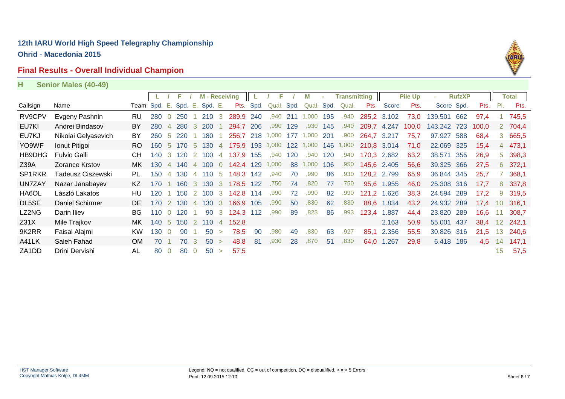### **Final Results - Overall Individual Champion**



**H Senior Males (40-49)**

|                                |                     |                              |     |                |            |                | <b>M</b> - Receiving |                |                 |      | F     |      | М          |     | <b>Transmitting</b> |             |             | <b>Pile Up</b> |             | <b>RufzXP</b> |       |                 | <b>Total</b> |
|--------------------------------|---------------------|------------------------------|-----|----------------|------------|----------------|----------------------|----------------|-----------------|------|-------|------|------------|-----|---------------------|-------------|-------------|----------------|-------------|---------------|-------|-----------------|--------------|
| Callsign                       | Name                | Team Spd. E. Spd. E. Spd. E. |     |                |            |                |                      |                | Pts.            | Spd. | Qual. | Spd. | Qual. Spd. |     | Qual.               | Pts.        | Score       | Pts.           | Score Spd.  |               | Pts.  | PI.             | Pts.         |
| RV9CPV                         | Evgeny Pashnin      | RU                           | 280 |                | 250        |                | 210                  | 3              | 289,9           | 240  | ,940  | 211  | 1,000      | 195 | ,940                | 285,2 3.102 |             | 73,0           | 139.501     | 662           | 97.4  |                 | 745.5        |
| EU7KI                          | Andrei Bindasov     | BY                           | 280 | $\overline{4}$ | <b>280</b> | 3              | <b>200</b>           |                | 294.7           | 206  | .990  | 129  | .930       | 145 | .940                | 209,7       | 4.247       | 100,0          | 143.242 723 |               | 100,0 |                 | 2 704,4      |
| EU7KJ                          | Nikolai Gelyasevich | BY                           | 260 | -5             | 220        |                | 180                  |                | 256.7           | 218  | 1,000 | 177  | 1,000      | 201 | ,900                | 264,7       | 3.217       | 75,7           | 97.927      | 588           | 68,4  |                 | 3 665,5      |
| YO9WF                          | Ionut Pitigoi       | RO.                          | 160 | -5             | 170        | -5             | 130                  | $\overline{4}$ | 175,9 193 1,000 |      |       | 122  | 1,000      | 146 | 1,000               | 210,8 3.014 |             | 71,0           | 22.069      | 325           | 15,4  |                 | 4 473,1      |
| HB9DHG                         | <b>Fulvio Galli</b> | <b>CH</b>                    | 140 | -3-            | 120        |                | 2 100                | $\overline{4}$ | 137.9           | 155  | ,940  | 120  | ,940       | 120 | ,940                | 170,3 2.682 |             | 63,2           | 38.571 355  |               | 26,9  |                 | 5 398,3      |
| Z39A                           | Zorance Krstov      | MK.                          | 130 | $\overline{4}$ | 140        |                | 4 100                |                | 0 142.4 129     |      | 1,000 | 88   | 1,000      | 106 | ,950                |             | 145,6 2.405 | 56,6           | 39.325 366  |               | 27.5  |                 | 6 372,1      |
| SP <sub>1</sub> RKR            | Tadeusz Ciszewski   | PL.                          | 150 | $\overline{4}$ | 130        |                | 4 110                | -5             | 148,3           | 142  | ,940  | 70   | ,990       | 86  | ,930                |             | 128,2 2.799 | 65,9           | 36.844 345  |               | 25,7  |                 | 368,1        |
| <b>UN7ZAY</b>                  | Nazar Janabayev     | KZ.                          | 170 |                | 160        | -3             | 130                  | $\mathbf{3}$   | 178.5           | 122  | .750  | 74   | ,820       | 77  | ,750                |             | 95,6 1.955  | 46,0           | 25.308 316  |               | 17,7  |                 | 8 337,8      |
| HA6OL                          | László Lakatos      | HU                           | 120 |                | 150        | $\overline{2}$ | 100                  | -3             | 142,8           | 114  | ,990  | 72   | ,990       | 82  | ,990                |             | 121,2 1.626 | 38,3           | 24.594      | 289           | 17,2  | 9               | 319,5        |
| DL5SE                          | Daniel Schirmer     | DE.                          | 170 | <sup>2</sup>   | 130        | $\overline{4}$ | 130 3                |                | 166,9 105       |      | ,990  | 50   | ,830       | 62  | ,830                |             | 88,6 1.834  | 43,2           | 24.932 289  |               | 17,4  | 10              | 316,1        |
| LZ2NG                          | Darin Iliev         | BG.                          | 110 | $\overline{0}$ | 120        |                |                      |                | 90 3 124,3 112  |      | ,990  | 89   | ,823       | 86  | ,993                |             | 123,4 1.887 | 44,4           | 23.820      | 289           | 16,6  | 11              | 308,7        |
| Z31X                           | Mile Trajkov        | MK.                          | 140 | 5 <sup>5</sup> |            |                | 150 2 110 4          |                | 152.8           |      |       |      |            |     |                     |             | 2.163       | 50,9           | 55.001 437  |               | 38,4  | 12 <sup>2</sup> | 242,1        |
| 9K2RR                          | Faisal Alajmi       | <b>KW</b>                    | 130 | $\Omega$       | 90         |                | 50                   | $\geq$         | 78,5            | 90   | .980  | 49   | .830       | 63  | ,927                | 85,1        | 2.356       | 55,5           | 30.826      | 316           | 21,5  | 13              | 240,6        |
| A41LK                          | Saleh Fahad         | <b>OM</b>                    | 70  |                | 70         | 3              | 50 >                 |                | 48.8            | -81  | ,930  | 28   | .870       | 51  | ,830                | 64,0        | 1.267       | 29,8           | 6.418       | 186           | 4.5   | 14              | 147,1        |
| ZA <sub>1</sub> D <sub>D</sub> | Drini Dervishi      | AL                           | 80  | $\Omega$       | 80         | $\overline{0}$ | 50                   | $\geq$         | 57,5            |      |       |      |            |     |                     |             |             |                |             |               |       | 15              | 57,5         |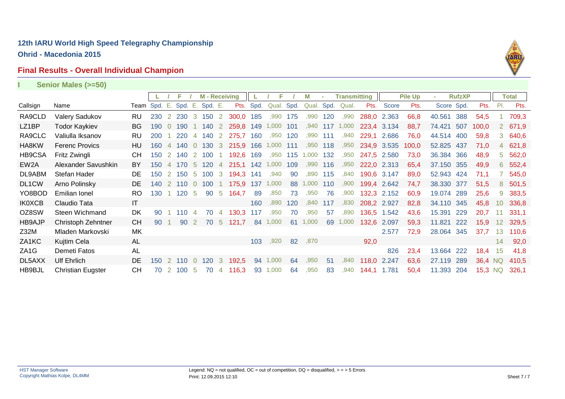### **Final Results - Overall Individual Champion**



|                   | Senior Males (>=50)      |                        |              |                |             |                |                    |                |           |      |       |      |       |      |                     |       |             |                |            |               |         |             |         |
|-------------------|--------------------------|------------------------|--------------|----------------|-------------|----------------|--------------------|----------------|-----------|------|-------|------|-------|------|---------------------|-------|-------------|----------------|------------|---------------|---------|-------------|---------|
|                   |                          |                        |              |                | F           |                | <b>M-Receiving</b> |                |           |      | Е     |      | M     | ×.   | <b>Transmitting</b> |       |             | <b>Pile Up</b> |            | <b>RufzXP</b> |         |             | Total   |
| Callsign          | Name                     |                        | Team Spd. E. |                | Spd. E.     |                | Spd. E.            |                | Pts.      | Spd. | Qual. | Spd. | Qual. | Spd. | Qual.               | Pts.  | Score       | Pts.           | Score Spd. |               | Pts.    | PL          | Pts.    |
| RA9CLD            | Valery Sadukov           | RU                     | 230          |                | 2 230 3 150 |                |                    | $\overline{2}$ | 300,0 185 |      | ,990  | 175  | ,990  | 120  | ,990                |       | 288,0 2.363 | 66,8           | 40.561     | 388           | 54,5    |             | 709,3   |
| LZ1BP             | <b>Todor Kaykiev</b>     | BG.                    | 190          | $\overline{0}$ | 190         |                | 140                | $\overline{2}$ | 259,8 149 |      | 1,000 | 101  | ,940  | 117  | 1,000               |       | 223,4 3.134 | 88,7           | 74.421     | 507           | 100,0   |             | 2 671,9 |
| RA9CLC            | Valiulla Iksanov         | RU                     | 200          |                | 220         | 4              | 140                | $\overline{2}$ | 275,7     | 160  | ,950  | 120  | .990  | 111  | .940                | 229,1 | 2.686       | 76,0           | 44.514 400 |               | 59,8    | 3           | 640,6   |
| HA8KW             | <b>Ferenc Provics</b>    | HU                     | 160          | 4              | 140         |                | 130                | 3              | 215.9     | 166  | 1,000 | 111  | ,950  | 118  | ,950                | 234,9 | 3.535       | 100,0          | 52.825     | 437           | 71,0    | 4           | 621,8   |
| HB9CSA            | Fritz Zwingli            | CН                     | 150          |                | 140         |                | 100                |                | 192.6     | 169  | ,950  | 115  | .000  | 132  | .950                | 247.5 | 2.580       | 73,0           | 36.384     | 366           | 48,9    | $5^{\circ}$ | 562,0   |
| EW <sub>2</sub> A | Alexander Savushkin      | BY                     | 150          | $\overline{4}$ | 170         | -5             | 120                | $\overline{4}$ | 215,1 142 |      | 1,000 | 109  | .990  | 116  | .950                | 222,0 | 2.313       | 65,4           | 37.150 355 |               | 49,9    | 6           | 552,4   |
| DL9ABM            | Stefan Hader             | DE                     | 150          | $\overline{2}$ | 150         | -5             | 100                | 3              | 194,3     | 141  | ,940  | 90   | .890  | 115  | .840                | 190,6 | 3.147       | 89,0           | 52.943 424 |               | 71,1    |             | 545,0   |
| DL1CW             | Arno Polinsky            | DE                     | 140          |                | 2 110       | $\overline{0}$ | 100                | $\overline{1}$ | 175,9     | 137  | 1,000 | 88   | 000.  | 110  | .900                |       | 199,4 2.642 | 74,7           | 38.330 377 |               | 51,5    | 8           | 501,5   |
| YO8BOD            | <b>Emilian Ionel</b>     | <b>RO</b>              | 130          |                | 120         | -5             | 90                 | -5             | 164,7     | 89   | ,850  | 73   | ,950  | 76   | ,900                | 132,3 | 2.152       | 60,9           | 19.074     | 289           | 25,6    | 9           | 383,5   |
| <b>IK0XCB</b>     | Claudio Tata             | $\mathsf{I}\mathsf{T}$ |              |                |             |                |                    |                |           | 160  | ,890  | 120  | ,840  | 117  | ,830                |       | 208,2 2.927 | 82,8           | 34.110 345 |               | 45,8    | 10          | 336,8   |
| OZ8SW             | Steen Wichmand           | DK                     | 90           |                | $110^{-1}$  |                | 70                 | $\overline{4}$ | 130,3     | 117  | ,950  | 70   | ,950  | 57   | ,890                | 136,5 | 1.542       | 43,6           | 15.391     | 229           | 20,7    | 11          | 331,1   |
| <b>HB9AJP</b>     | Christoph Zehntner       | <b>CH</b>              | 90           |                | 90          |                | 70                 | -5             | 121.7     | 84   | 1,000 | 61   | ,000  | 69   | 1,000               | 132,6 | 2.097       | 59,3           | 11.821     | 222           | 15,9    | 12          | 329,5   |
| Z32M              | Mladen Markovski         | MK                     |              |                |             |                |                    |                |           |      |       |      |       |      |                     |       | 2.577       | 72,9           | 28.064 345 |               | 37,7    | 13          | 110,6   |
| ZA1KC             | Kujtim Cela              | AL                     |              |                |             |                |                    |                |           | 103  | .920  | 82   | ,870  |      |                     | 92,0  |             |                |            |               |         | 14          | 92,0    |
| ZA <sub>1</sub> G | Demeti Fatos             | AL                     |              |                |             |                |                    |                |           |      |       |      |       |      |                     |       | 826         | 23,4           | 13.664     | 222           | 18,4    | 15          | 41,8    |
| DL5AXX            | <b>Ulf Ehrlich</b>       | DE                     | 150          |                | 2 110       | $\overline{0}$ | 120                | 3              | 192.5     | 94   | 1.000 | 64   | ,950  | 51   | ,840                | 118.0 | 2.247       | 63,6           | 27.119     | 289           | 36.4 NQ |             | 410.5   |
| HB9BJL            | <b>Christian Eugster</b> | СH                     | 70           | <sup>2</sup>   | 100         | -5             | 70                 | 4              | 116,3     | 93   | 1,000 | 64   | ,950  | 83   | .940                | 144,1 | 1.781       | 50,4           | 11.393     | 204           | 15,3 NQ |             | 326,1   |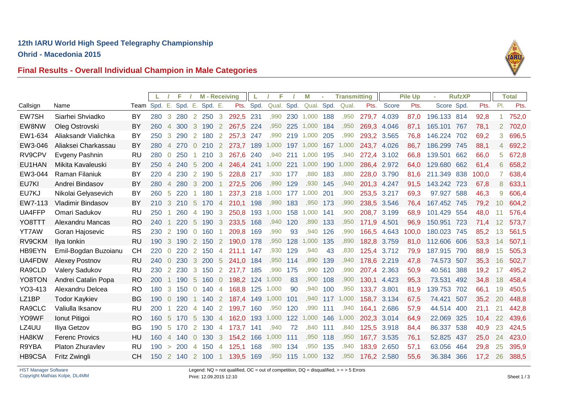**Ohrid - Macedonia 2015**



# **Final Results - Overall Individual Champion in Male Categories**

|          |                          |              | L.  |                | F       |                       | <b>M</b> - Receiving |                |           |           | F          |          | М          |     | <b>Transmitting</b> |             |             | <b>Pile Up</b> |             | <b>RufzXP</b> |       |                | <b>Total</b> |
|----------|--------------------------|--------------|-----|----------------|---------|-----------------------|----------------------|----------------|-----------|-----------|------------|----------|------------|-----|---------------------|-------------|-------------|----------------|-------------|---------------|-------|----------------|--------------|
| Callsign | Name                     | Team Spd. E. |     |                | Spd. E. |                       | Spd. E.              |                |           | Pts. Spd. | Qual. Spd. |          | Qual. Spd. |     | Qual.               | Pts.        | Score       | Pts.           | Score Spd.  |               | Pts.  | PI.            | Pts.         |
| EW7SH    | Siarhei Shviadko         | BY           | 280 | $\mathbf{3}$   | 280     |                       | 2 2 5 0              | 3              | 292,5 231 |           | ,990       | 230      | 1,000      | 188 | .950                | 279,7       | 4.039       | 87,0           | 196.133 814 |               | 92,8  | 1              | 752,0        |
| EW8NW    | Oleg Ostrovski           | BY           | 260 | $\overline{4}$ | 300     | $\mathbf{3}$          | 190                  | 2              | 267,5     | 224       | ,950       | 225      | 1,000      | 184 | .950                | 269,3       | 4.046       | 87,1           | 165.101     | 767           | 78,1  | $\overline{2}$ | 702,0        |
| EW1-634  | Aliaksandr Vialichka     | BY           | 250 | 3              | 290     | $\overline{2}$        | 180                  | 2              | 257,3 247 |           | .990       | 219      | 1,000      | 205 | ,990                | 293,2       | 3.565       | 76,8           | 146.224     | 702           | 69,2  | 3              | 696,5        |
| EW3-046  | Aliaksei Charkassau      | BY           | 280 | $\overline{4}$ | 270     | $\overline{0}$        | 210                  | 2              | 273,7 189 |           | 1,000      | 197      | 1,000      | 167 | 1,000               | 243,7 4.026 |             | 86,7           | 186.299     | 745           | 88,1  | 4              | 692,2        |
| RV9CPV   | Evgeny Pashnin           | <b>RU</b>    | 280 | $\overline{0}$ | 250     |                       | 210                  | 3              | 267,6     | 240       | ,940       | 211      | 1,000      | 195 | .940                | 272.4       | 3.102       | 66,8           | 139.501     | 662           | 66,0  | 5              | 672,8        |
| EU1HAN   | Mikita Kavaleuski        | BY           | 250 | $\overline{4}$ | 240     | -5                    | 200                  | 4              | 246,4 241 |           | 1,000      | 221      | 1,000      | 190 | 1,000               | 286,4       | 2.972       | 64,0           | 129.680     | 662           | 61,4  | 6              | 658,2        |
| EW3-044  | Raman Filaniuk           | BY           | 220 | $\overline{4}$ | 230     | 2                     | 190                  | -5             | 228.8     | 217       | .930       | 177      | .880       | 183 | .880                | 228,0       | 3.790       | 81,6           | 211.349     | 838           | 100,0 |                | 638,4        |
| EU7KI    | Andrei Bindasov          | BY           | 280 | $\overline{4}$ | 280     | 3                     | 200                  |                | 272,5 206 |           | ,990       | 129      | ,930       | 145 | ,940                | 201,3       | 4.247       | 91,5           | 143.242     | 723           | 67,8  | 8              | 633,1        |
| EU7KJ    | Nikolai Gelyasevich      | BY           | 260 | -5             | 220     |                       | 180                  |                | 237,3 218 |           | 1,000      | 177      | 1,000      | 201 | .900                | 253,5       | 3.217       | 69,3           | 97.927 588  |               | 46,3  | 9              | 606,4        |
| EW7-113  | <b>Vladimir Bindasov</b> | BY           | 210 | 3              | 210     | - 5                   | 170                  | $\overline{4}$ | 210.1     | 198       | ,990       | 183      | ,950       | 173 | ,990                | 238,5       | 3.546       | 76.4           | 167.452 745 |               | 79,2  | 10             | 604,2        |
| UA4FFP   | Omari Sadukov            | <b>RU</b>    | 250 |                | 260     | $\overline{4}$        | 190                  | 3              | 250,8     | 193       | 1,000      | 158      | 1,000      | 141 | ,900                | 208,7       | 3.199       | 68,9           | 101.429     | 554           | 48,0  | 11             | 576,4        |
| YO8TTT   | Alexandru Mancas         | <b>RO</b>    | 240 |                | 220     | 5                     | 190                  | -3             | 233,5 168 |           | ,940       | 120      | ,890       | 133 | ,950                | 171,9       | 4.501       | 96,9           | 150.951     | 723           | 71,4  | 12             | 573,7        |
| YT7AW    | Goran Hajosevic          | <b>RS</b>    | 230 | <sup>2</sup>   | 190     | $\overline{0}$        | 160                  |                | 209,8     | 169       | ,990       | 93       | .940       | 126 | .990                | 166,5       | 4.643       | 100,0          | 180.023     | 745           | 85,2  | 13             | 561,5        |
| RV9CKM   | Ilya Ionkin              | <b>RU</b>    | 190 | 3              | 190     | $\mathbf{2}$          | 150                  | $\mathbf{2}$   | 190.0     | 178       | ,950       | 128      | 1,000      | 135 | ,890                | 182,8       | 3.759       | 81,0           | 112.606 606 |               | 53,3  | 14             | 507,1        |
| HB9EYN   | Emil-Bogdan Buzoianu     | <b>CH</b>    | 220 | $\overline{0}$ | 220     | $\mathbf{2}^{\prime}$ | 150                  | 4              | 211,1     | 147       | ,930       | 129      | ,940       | 43  | ,830                | 125,4       | 3.712       | 79,9           | 187.915     | 790           | 88,9  | 15             | 505,3        |
| UA4FDW   | <b>Alexey Postnov</b>    | <b>RU</b>    | 240 | $\overline{0}$ | 230     | $\mathbf{3}$          | <b>200</b>           | -5             | 241.0     | 184       | ,950       | 114      | ,890       | 139 | ,940                | 178,6       | 2.219       | 47,8           | 74.573 507  |               | 35.3  | 16             | 502,7        |
| RA9CLD   | <b>Valery Sadukov</b>    | RU           | 230 | $\mathbf{2}$   | 230     | 3                     | 150                  | 2              | 217,7     | 185       | ,990       | 175      | ,990       | 120 | ,990                | 207.4       | 2.363       | 50,9           | 40.561      | 388           | 19,2  | 17             | 495,2        |
| YO8TON   | Andrei Catalin Popa      | <b>RO</b>    | 200 | $\mathbf{1}$   | 190     | -5                    | 160                  | $\overline{0}$ | 198,2 124 |           | 1,000      | 83       | ,900       | 108 | ,900                | 130.1       | 4.423       | 95,3           | 73.531      | 492           | 34,8  | 18             | 458,4        |
| YO3-413  | Alexandru Delcea         | RO.          | 180 | 3              | 150     | $\overline{0}$        | 140                  | -4             | 168.8     | 125       | 1,000      | 90       | .940       | 100 | .950                | 133,7       | 3.801       | 81,9           | 139.753     | 702           | 66.1  | 19             | 450.5        |
| LZ1BP    | <b>Todor Kaykiev</b>     | <b>BG</b>    | 190 | $\overline{0}$ | 190     |                       | 140                  | $\overline{2}$ | 187,4 149 |           | 1,000      | 101      | .940       | 117 | 1,000               | 158,7       | 3.134       | 67,5           | 74.421      | 507           | 35,2  | 20             | 448,8        |
| RA9CLC   | Valiulla Iksanov         | RU           | 200 |                | 220     | 4                     | 140                  | $\overline{2}$ | 199,7     | 160       | .950       | 120      | ,990       | 111 | ,940                | 164.1       | 2.686       | 57,9           | 44.514      | 400           | 21.1  | 21             | 442,8        |
| YO9WF    | Ionut Pitigoi            | <b>RO</b>    | 160 | -5             | 170     | $\sqrt{5}$            | 130                  | -4             | 162,0     | 193       | 1,000      | 122      | 1,000      | 146 | 1,000               | 202,3       | 3.014       | 64,9           | 22.069      | 325           | 10,4  | 22             | 439,6        |
| LZ4UU    | Iliya Getzov             | <b>BG</b>    | 190 | -5             | 170     | 2                     | 130                  | -4             | 173,7     | 141       | .940       | 72       | ,840       | 111 | ,840                | 125,5       | 3.918       | 84,4           | 86.337 538  |               | 40,9  | 23             | 424,5        |
| HA8KW    | <b>Ferenc Provics</b>    | HU           | 160 | $\overline{4}$ | 140     | $\overline{0}$        | 130                  | 3              | 154,2     | 166       | 1,000      | 111      | .950       | 118 | .950                | 167,7       | 3.535       | 76,1           | 52.825      | 437           | 25,0  | 24             | 423,0        |
| R9YBA    | Platon Zhuravlev         | RU           | 190 | $\geq$         | 200     | 4                     | 150                  | -4             | 125.1     | 168       | ,980       | 134      | .950       | 135 | .940                | 183,9       | 2.650       | 57,1           | 63.056      | 464           | 29,8  | 25             | 395,9        |
| HB9CSA   | Fritz Zwingli            | <b>CH</b>    | 150 |                | 2 140   |                       | 2 100                | -1             | 139,5 169 |           |            | ,950 115 | 1,000      | 132 | ,950                |             | 176,2 2.580 | 55,6           | 36.384 366  |               | 17,2  | 26             | 388,5        |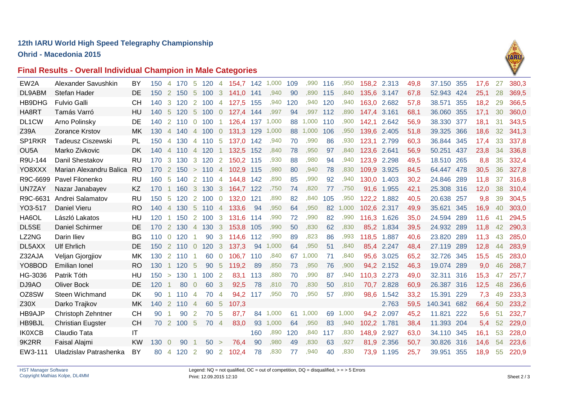**Ohrid - Macedonia 2015**





| EW2A              | Alexander Savushkin      | BY                     | 150   | 4              | 170                     | -5                   | 120              | 4              | 154,7     | 142 | 1,000 | 109 | ,990  | 116 | .950  | 158.2 | 2.313      | 49,8 | 37.150     | 355 | 17.6 | 27 | 380.3 |
|-------------------|--------------------------|------------------------|-------|----------------|-------------------------|----------------------|------------------|----------------|-----------|-----|-------|-----|-------|-----|-------|-------|------------|------|------------|-----|------|----|-------|
| DL9ABM            | Stefan Hader             | DE                     | 150   |                | 2 150                   | $-5$                 | 100 3            |                | 141,0     | 141 | ,940  | 90  | ,890  | 115 | ,840  | 135,6 | 3.147      | 67,8 | 52.943 424 |     | 25,1 | 28 | 369,5 |
| <b>HB9DHG</b>     | <b>Fulvio Galli</b>      | <b>CH</b>              | 140   | $\mathbf{3}$   | 120                     | $\mathbf{2}^{\circ}$ | 100              | 4              | 127,5     | 155 | ,940  | 120 | ,940  | 120 | ,940  | 163,0 | 2.682      | 57,8 | 38.571     | 355 | 18,2 | 29 | 366,5 |
| HA8RT             | Tamás Varró              | HU                     |       |                | 140 5 120               | $5\overline{5}$      | 100              | $\overline{0}$ | 127,4     | 144 | ,997  | 94  | ,997  | 112 | ,890  | 147,4 | 3.161      | 68,1 | 36.060 355 |     | 17,1 | 30 | 360,0 |
| DL1CW             | Arno Polinsky            | DE                     | 140   |                | 2 110                   | $\overline{0}$       | 100              |                | 126,4 137 |     | 1,000 | 88  | 1.000 | 110 | .900  | 142,1 | 2.642      | 56,9 | 38.330 377 |     | 18,1 | 31 | 343,5 |
| Z39A              | Zorance Krstov           | MK                     | 130   |                | 4 140                   | $\overline{4}$       | $100\quad$       |                | 131,3     | 129 | 1,000 | 88  | 1,000 | 106 | ,950  | 139,6 | 2.405      | 51,8 | 39.325 366 |     | 18,6 | 32 | 341,3 |
| SP1RKR            | Tadeusz Ciszewski        | PL                     | 150   |                | 4 130                   |                      | 4 110 5          |                | 137,0 142 |     | ,940  | 70  | ,990  | 86  | .930  | 123,1 | 2.799      | 60,3 | 36.844 345 |     | 17,4 | 33 | 337,8 |
| OU <sub>5</sub> A | Marko Zivkovic           | DK                     |       |                | 140 4 110               |                      | 4 120            |                | 132,5 152 |     | ,840  | 78  | ,950  | 97  | .840  | 123,6 | 2.641      | 56,9 | 50.251 437 |     | 23,8 | 34 | 336,8 |
| R9U-144           | Danil Shestakov          | RU                     | 170   | $\mathbf{3}$   | 130                     | $\mathbf{3}$         | 120              | $\overline{2}$ | 150,2     | 115 | .930  | 88  | ,980  | 94  | ,940  | 123,9 | 2.298      | 49,5 | 18.510 265 |     | 8,8  | 35 | 332,4 |
| YO8XXX            | Marian Alexandru Balica  | <b>RO</b>              |       |                | $170$ 2 $150$ > $110$ 4 |                      |                  |                | 102,9     | 115 | ,980  | 80  | ,940  | 78  | ,830  | 109,9 | 3.925      | 84,5 | 64.447 478 |     | 30,5 | 36 | 327,8 |
| R9C-6699          | Pavel Filonenko          | RU                     | 160 5 |                | 140                     | $\overline{2}$       | 110              | $\overline{4}$ | 144,8     | 142 | ,890  | 85  | .990  | 92  | ,940  | 130,0 | 1.403      | 30,2 | 24.846 289 |     | 11,8 | 37 | 316,8 |
| UN7ZAY            | Nazar Janabayev          | KZ                     | 170   | $\overline{1}$ | 160                     | $\mathbf{3}$         | 130              | $\mathbf{3}$   | 164,7     | 122 | ,750  | 74  | ,820  | 77  | ,750  | 91,6  | 1.955      | 42,1 | 25.308 316 |     | 12,0 | 38 | 310,4 |
| R9C-6631          | Andrei Salamatov         | RU                     | 150   | - 5            | 120                     |                      | 2 100            | $\overline{0}$ | 132,0     | 121 | .890  | 82  | .840  | 105 | .950  | 122,2 | 1.882      | 40,5 | 20.638 257 |     | 9,8  | 39 | 304,5 |
| YO3-517           | Daniel Vieru             | <b>RO</b>              |       |                | 140 4 130               | $-5$                 | $110 \t 4$       |                | 133,6     | 94  | ,950  | 64  | ,950  | 82  | ,000  | 102,6 | 2.317      | 49,9 | 35.621 345 |     | 16,9 | 40 | 303,0 |
| HA6OL             | László Lakatos           | HU                     | 120   | $\sim$         | 150 2                   |                      | 100              | $\overline{3}$ | 131,6     | 114 | ,990  | 72  | ,990  | 82  | ,990  | 116.3 | 1.626      | 35,0 | 24.594 289 |     | 11,6 | 41 | 294,5 |
| DL5SE             | <b>Daniel Schirmer</b>   | DE                     | 170   |                | 2 130                   |                      | 4 130            | $\overline{3}$ | 153,8     | 105 | ,990  | 50  | ,830  | 62  | ,830  | 85,2  | 1.834      | 39,5 | 24.932 289 |     | 11,8 | 42 | 290,3 |
| LZ2NG             | Darin Iliev              | BG                     | 110   |                | $0$ 120                 | -1.                  | 90               | 3              | 114,6     | 112 | ,990  | 89  | ,823  | 86  | ,993  | 118,5 | 1.887      | 40,6 | 23.820 289 |     | 11,3 | 43 | 285,0 |
| DL5AXX            | <b>Ulf Ehrlich</b>       | DE                     |       |                | 150 2 110               | $\overline{0}$       | 120              | $\overline{3}$ | 137,3     | 94  | 1,000 | 64  | ,950  | 51  | ,840  | 85,4  | 2.247      | 48,4 | 27.119 289 |     | 12,8 | 44 | 283,9 |
| Z32AJA            | Veljan Gjorgjiov         | МK                     | 130   | <sup>2</sup>   | 110                     | -1.                  | 60               | $\overline{0}$ | 106.7     | 110 | ,840  | 67  | 1,000 | 71  | ,840  | 95,6  | 3.025      | 65,2 | 32.726 345 |     | 15,5 | 45 | 283,0 |
| YO8BOD            | <b>Emilian Ionel</b>     | <b>RO</b>              | 130   | $\mathbf{1}$   | 120                     | -5                   | 90               | -5             | 119,2     | 89  | ,850  | 73  | ,950  | 76  | ,900  |       | 94,2 2.152 | 46,3 | 19.074 289 |     | 9,0  | 46 | 268,7 |
| HG-3036           | Patrik Tóth              | HU                     | 150   | $\geq$         | 130                     |                      | 100 <sub>2</sub> |                | 83,1      | 113 | ,880  | 70  | ,990  | 87  | ,940  | 110,3 | 2.273      | 49,0 | 32.311     | 316 | 15,3 | 47 | 257,7 |
| DJ9AO             | <b>Oliver Bock</b>       | <b>DE</b>              | 120   | -1             | 80                      | $\overline{0}$       | 60               | $\mathbf{3}$   | 92,5      | 78  | ,810  | 70  | ,830  | 50  | ,810  | 70,7  | 2.828      | 60,9 | 26.387 316 |     | 12,5 | 48 | 236,6 |
| OZ8SW             | Steen Wichmand           | <b>DK</b>              | 90    |                | 110                     | $\overline{4}$       | 70               | -4             | 94,2      | 117 | ,950  | 70  | ,950  | 57  | .890  | 98,6  | 1.542      | 33,2 | 15.391 229 |     | 7,3  | 49 | 233,3 |
| Z30X              | Darko Trajkov            | MK                     | 140 2 |                | 110                     | $\overline{4}$       | 60               | $-5$           | 107,3     |     |       |     |       |     |       |       | 2.763      | 59,5 | 140.341    | 682 | 66,4 | 50 | 233,2 |
| <b>HB9AJP</b>     | Christoph Zehntner       | <b>CH</b>              | 90    |                | 90                      | $\overline{2}$       | 70 5             |                | 87,7      | 84  | 1,000 | 61  | 1,000 | 69  | 1,000 |       | 94,2 2.097 | 45,2 | 11.821 222 |     | 5,6  | 51 | 232,7 |
| HB9BJL            | <b>Christian Eugster</b> | <b>CH</b>              | 70 2  |                | 100                     | -5                   | 70               | $\overline{4}$ | 83,0      | 93  | 1,000 | 64  | ,950  | 83  | ,940  | 102,2 | 1.781      | 38,4 | 11.393 204 |     | 5,4  | 52 | 229,0 |
| <b>IK0XCB</b>     | Claudio Tata             | $\mathsf{I}\mathsf{T}$ |       |                |                         |                      |                  |                |           | 160 | .890  | 120 | .840  | 117 | ,830  | 148,9 | 2.927      | 63,0 | 34.110 345 |     | 16,1 | 53 | 228,0 |
| 9K2RR             | Faisal Alajmi            | <b>KW</b>              | 130 0 |                | 90                      |                      | 50 >             |                | 76,4      | 90  | ,980  | 49  | ,830  | 63  | ,927  | 81,9  | 2.356      | 50,7 | 30.826 316 |     | 14,6 | 54 | 223,6 |
| EW3-111           | Uladzislav Patrashenka   | <b>BY</b>              | 80    | $\overline{4}$ | 120                     | 2                    | 90               | 2              | 102,4     | 78  | ,830  | 77  | .940  | 40  | .830  | 73.9  | 1.195      | 25,7 | 39.951     | 355 | 18,9 | 55 | 220,9 |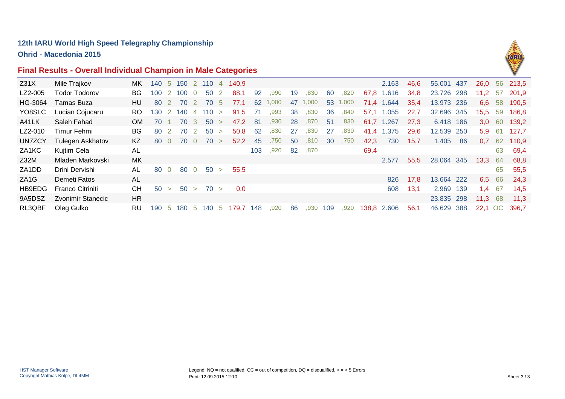**Ohrid - Macedonia 2015**

### **Final Results - Overall Individual Champion in Male Categories**



| Z31X              | Mile Trajkov             | MK.       | 140 5 150 2 110 4 |                |       |                |             |                | 140.9     |      |      |    |      |     |       |             | 2.163      | 46,6 | 55.001     | -437 | 26,0             |     | 56 213,5 |
|-------------------|--------------------------|-----------|-------------------|----------------|-------|----------------|-------------|----------------|-----------|------|------|----|------|-----|-------|-------------|------------|------|------------|------|------------------|-----|----------|
| LZ2-005           | <b>Todor Todorov</b>     | BG.       | 100               |                | 2 100 | $\overline{0}$ | 50          | $\overline{2}$ | 88,1      | 92   | ,990 | 19 | ,830 | 60  | ,820  | 67,8        | 1.616      | 34,8 | 23.726 298 |      | $11,2$ 57        |     | 201,9    |
| HG-3064           | Tamas Buza               | HU.       | -80               |                | 70    | -2             | 70          | -5             | 77.1      | 62   | 000. | 47 | 000. | 53  | 1,000 | 71.4        | 1.644      | 35,4 | 13.973 236 |      | 6,6              | 58  | 190,5    |
| YO8SLC            | Lucian Cojucaru          | RO.       | 130 2 140         |                |       |                | $4 \t110 >$ |                | 91.5      | - 71 | ,993 | 38 | ,830 | 36  | ,840  |             | 57,1 1.055 | 22,7 | 32.696 345 |      | 15,5 59          |     | 186,8    |
| A41LK             | Saleh Fahad              | OM.       | 70                |                | 70    | $-3$           | 50 >        |                | 47,2 81   |      | ,930 | 28 | ,870 | 51  | ,830  | 61,7        | 1.267      | 27,3 | 6.418 186  |      | 3.0 <sub>1</sub> | -60 | 139,2    |
| LZ2-010           | Timur Fehmi              | BG.       | 80                | $\overline{2}$ | 70    | $\overline{2}$ | 50          | $\geq$         | 50,8      | 62   | ,830 | 27 | ,830 | -27 | ,830  | 41,4        | 1.375      | 29,6 | 12.539 250 |      | 5.9              | -61 | 127,7    |
| UN7ZCY            | Tulegen Askhatov         | KZ.       | 80                | $\Omega$       | 70    | $\Omega$       | 70          | $\rightarrow$  | 52.2      | 45   | .750 | 50 | .810 | 30  | ,750  | 42,3        | 730        | 15,7 | 1.405      | -86  | 0.7              | 62  | 110,9    |
| ZA1KC             | Kujtim Cela              | AL        |                   |                |       |                |             |                |           | 103  | ,920 | 82 | ,870 |     |       | 69,4        |            |      |            |      |                  | 63  | 69,4     |
| Z32M              | Mladen Markovski         | MK.       |                   |                |       |                |             |                |           |      |      |    |      |     |       |             | 2.577      | 55,5 | 28.064 345 |      | 13,3             | -64 | 68,8     |
| ZA1DD             | Drini Dervishi           | AL        | 80                | $\overline{0}$ | 80    | $\overline{0}$ | 50          | $\geq$         | 55,5      |      |      |    |      |     |       |             |            |      |            |      |                  | 65  | 55,5     |
| ZA <sub>1</sub> G | Demeti Fatos             | AL        |                   |                |       |                |             |                |           |      |      |    |      |     |       |             | 826        | 17,8 | 13.664 222 |      | 6,5              | 66  | 24,3     |
| HB9EDG            | <b>Franco Citriniti</b>  | CH.       | 50 >              |                |       |                | 50 > 70 >   |                | 0,0       |      |      |    |      |     |       |             | 608        | 13,1 | 2.969 139  |      | 1,4              | -67 | 14,5     |
| 9A5DSZ            | <b>Zvonimir Stanecic</b> | HR.       |                   |                |       |                |             |                |           |      |      |    |      |     |       |             |            |      | 23.835 298 |      | 11,3             | -68 | 11,3     |
| RL3QBF            | Oleg Gulko               | <b>RU</b> | 190 5             |                | 180   | ີ 5            | 140 5       |                | 179,7 148 |      | ,920 | 86 | ,930 | 109 | ,920  | 138,8 2.606 |            | 56,1 | 46.629 388 |      | 22.1             | OC  | 396.7    |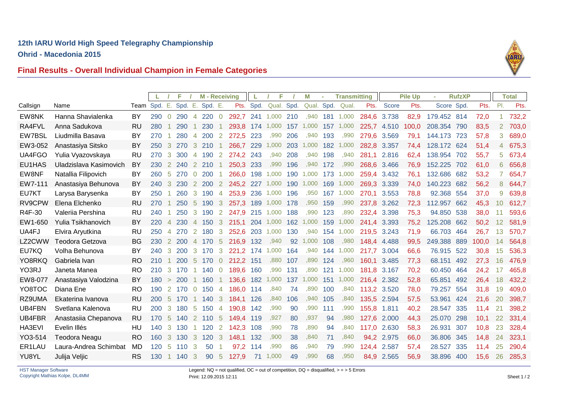**Ohrid - Macedonia 2015**



### **Final Results - Overall Individual Champion in Female Categories**

|               |                        |               |     |                      | F   |                 | <b>M</b> - Receiving |                |           |     | F                    |     | М     |     | <b>Transmitting</b> |       |       | <b>Pile Up</b> |             | <b>RufzXP</b> |       |                | <b>Total</b> |
|---------------|------------------------|---------------|-----|----------------------|-----|-----------------|----------------------|----------------|-----------|-----|----------------------|-----|-------|-----|---------------------|-------|-------|----------------|-------------|---------------|-------|----------------|--------------|
| Callsign      | Name                   | Team Spd. E.  |     |                      |     |                 | Spd. E. Spd. E.      |                |           |     | Pts. Spd. Qual. Spd. |     |       |     | Qual. Spd. Qual.    | Pts.  | Score | Pts.           | Score Spd.  |               | Pts.  | PI.            | Pts.         |
| EW8NK         | Hanna Shavialenka      | BY            | 290 | $\Omega$             | 290 | $\overline{4}$  | $220 \quad 0$        |                | 292,7     |     | 241 1,000 210        |     | ,940  | 181 | 1,000               | 284,6 | 3.738 | 82,9           | 179.452 814 |               | 72,0  | 1              | 732,2        |
| RA4FVL        | Anna Sadukova          | <b>RU</b>     | 280 |                      | 290 |                 | 230                  |                | 293,8     | 174 | 1,000                | 157 | 1,000 | 157 | 1,000               | 225,7 | 4.510 | 100,0          | 208.354     | 790           | 83,5  | $\overline{2}$ | 703,0        |
| EW7BSL        | Liudmilla Basava       | BY            | 270 |                      | 280 | 4               | 200                  | $\overline{2}$ | 272,5 223 |     | ,990                 | 206 | .940  | 193 | ,990                | 279,6 | 3.569 | 79,1           | 144.173 723 |               | 57,8  | 3.             | 689,0        |
| EW3-052       | Anastasiya Sitsko      | BY            | 250 | 3                    | 270 | 3               | 210                  |                | 266.7     | 229 | 1,000                | 203 | 1,000 | 182 | 1,000               | 282,8 | 3.357 | 74.4           | 128,172 624 |               | 51,4  | 4              | 675,3        |
| UA4FGO        | Yulia Vyazovskaya      | RU            | 270 | 3                    | 300 | $\overline{4}$  | 190                  | 2              | 274,2 243 |     | ,940                 | 208 | ,940  | 198 | ,940                | 281,1 | 2.816 | 62,4           | 138.954     | 702           | 55,7  | 5              | 673,4        |
| EU1HAS        | Uladzislava Kasimovich | BY            | 230 | 2                    | 240 | <sup>2</sup>    | 210                  |                | 250,3 233 |     | ,990                 | 196 | .940  | 172 | ,990                | 268,6 | 3.466 | 76,9           | 152.225     | 702           | 61,0  | 6              | 656,8        |
| EW8NF         | Natallia Filipovich    | BY            | 260 | -5                   | 270 | $\overline{0}$  | <b>200</b>           |                | 266.0     | 198 | 1.000                | 190 | 1.000 | 173 | 1.000               | 259.4 | 3.432 | 76.1           | 132.686     | 682           | 53,2  | 7              | 654,7        |
| EW7-111       | Anastasiya Behunova    | BY            | 240 | 3                    | 230 | $\mathbf{2}$    | 200                  | $\overline{2}$ | 245,2 227 |     | 1,000                | 190 | 1,000 | 169 | 1,000               | 269.3 | 3.339 | 74,0           | 140.223     | 682           | 56,2  | 8              | 644,7        |
| EU7KT         | Larysa Barysenka       | BY            | 250 |                      | 260 | 3               | 190                  | 4              | 253,9 236 |     | 1,000                | 196 | ,950  | 167 | 1,000               | 270,1 | 3.553 | 78,8           | 92.368 554  |               | 37,0  | 9              | 639,8        |
| RV9CPW        | Elena Elchenko         | <b>RU</b>     | 270 |                      | 250 | -5              | 190                  | 3              | 257,3     | 189 | 1,000                | 178 | ,950  | 159 | ,990                | 237,8 | 3.262 | 72,3           | 112.957     | 662           | 45,3  | 10             | 612,7        |
| R4F-30        | Valeriia Pershina      | <b>RU</b>     | 240 |                      | 250 | 3               | 190                  | $\overline{2}$ | 247,9 215 |     | 1,000                | 188 | ,990  | 123 | ,890                | 232,4 | 3.398 | 75,3           | 94.850 538  |               | 38,0  |                | 593,6        |
| EW1-650       | Yulia Tsikhanovich     | BY            | 220 | $\overline{4}$       | 230 |                 | 4 150                | 3              | 215.1 204 |     | 1,000                | 162 | 1,000 | 159 | 1,000               | 241.4 | 3.393 | 75,2           | 125.208     | 662           | 50,2  | 12             | 581.9        |
| UA4FJ         | Elvira Aryutkina       | RU            | 250 | $\overline{4}$       | 270 | 2               | 180                  | 3              | 252,6     | 203 | 1,000                | 130 | .940  | 154 | 1.000               | 219.5 | 3.243 | 71,9           | 66.703      | 464           | 26,7  | 13             | 570,7        |
| LZ2CWW        | Teodora Getzova        | BG            | 230 | 2                    | 200 | $\overline{4}$  | 170                  | 5              | 216,9     | 132 | ,940                 | 92  | 1,000 | 108 | ,980                | 148,4 | 4.488 | 99,5           | 249.388     | 889           | 100,0 | 14             | 564,8        |
| EU7KQ         | Volha Behunova         | BY            | 240 | 3                    | 200 | 3               | 170                  | 3              | 221,2     | 174 | 1,000                | 164 | .940  | 144 | 1,000               | 217,7 | 3.004 | 66,6           | 76.915      | 522           | 30,8  | 15             | 536,3        |
| YO8RKQ        | Gabriela Ivan          | RO            | 210 | $\blacktriangleleft$ | 200 | $5\overline{5}$ | 170                  | $\overline{0}$ | 212,2 151 |     | ,880                 | 107 | ,890  | 124 | ,960                | 160.1 | 3.485 | 77,3           | 68.151      | 492           | 27,3  | 16             | 476,9        |
| YO3RJ         | Janeta Manea           | <b>RO</b>     | 210 | 3                    | 170 |                 | 140                  | $\overline{0}$ | 189,6     | 160 | ,990                 | 131 | .890  | 121 | 1,000               | 181.8 | 3.167 | 70,2           | 60.450      | 464           | 24,2  | 17             | 465,8        |
| EW8-077       | Anastasiya Valodzina   | BY            | 180 | $\geq$               | 200 |                 | 160                  | $\overline{1}$ | 136,6     | 182 | 1,000                | 137 | 1,000 | 151 | 1,000               | 216,4 | 2.382 | 52,8           | 65,851      | 492           | 26,4  | 18             | 432,2        |
| YO8TOC        | Diana Ene              | <b>RO</b>     | 190 | 2                    | 170 | $\overline{0}$  | 150                  | $\overline{4}$ | 186,0     | 114 | ,840                 | 74  | .890  | 100 | ,840                | 113,2 | 3.520 | 78,0           | 79.257      | 554           | 31,8  | 19             | 409,0        |
| RZ9UMA        | Ekaterina Ivanova      | <b>RU</b>     | 200 | -5                   | 170 |                 | 140                  | 3              | 184,1     | 126 | ,840                 | 106 | ,940  | 105 | ,840                | 135,5 | 2.594 | 57,5           | 53.961      | 424           | 21,6  | 20             | 398,7        |
| <b>UB4FBN</b> | Svetlana Kalenova      | <b>RU</b>     | 200 | 3                    | 180 | 5               | 150                  | $\overline{4}$ | 190,8     | 142 | ,990                 | 90  | .990  | 111 | ,990                | 155,8 | 1.811 | 40,2           | 28.547      | 335           | 11,4  | 21             | 398,2        |
| UB4FBR        | Anastasiia Chepanova   | <b>RU</b>     | 170 | $\sqrt{5}$           | 140 | $\mathbf{2}$    | 110                  | 5              | 149,4     | 119 | ,927                 | 80  | ,937  | 94  | ,980                | 127,6 | 2.000 | 44,3           | 25.070      | 298           | 10,1  | 22             | 331,4        |
| HA3EVI        | Evelin Illés           | HU            | 140 | 3                    | 130 |                 | 120                  | 2              | 142,3     | 108 | ,990                 | 78  | .890  | 94  | ,840                | 117,0 | 2.630 | 58,3           | 26.931      | 307           | 10,8  | 23             | 328,4        |
| YO3-514       | <b>Teodora Neagu</b>   | <sub>RO</sub> | 160 | 3                    | 130 | 3               | 120                  | -3             | 148,1     | 132 | ,900                 | 38  | ,840  | 71  | ,840                | 94,2  | 2.975 | 66,0           | 36.806      | 345           | 14.8  | 24             | 323,1        |
| ER1LAU        | Laura-Andrea Schimbat  | MD            | 120 | 5                    | 110 | 3               | 50                   |                | 97,2      | 114 | ,990                 | 86  | .940  | 79  | ,990                | 124,4 | 2.587 | 57,4           | 28.527      | 335           | 11,4  | 25             | 290,4        |
| YU8YL         | Julija Veljic          | <b>RS</b>     | 130 | $\blacktriangleleft$ | 140 | 3               | 90                   | -5             | 127,9     | 71  | 1,000                | 49  | ,990  | 68  | ,950                | 84,9  | 2.565 | 56,9           | 38.896 400  |               | 15,6  | 26             | 285,3        |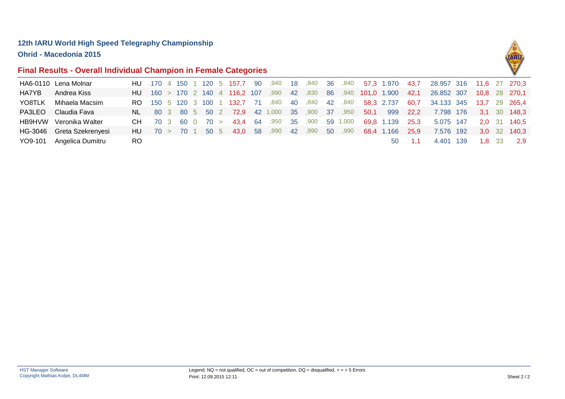**Ohrid - Macedonia 2015**

### **Final Results - Overall Individual Champion in Female Categories**



|              | HA6-0110 Lena Molnar      |                     |  |  |  |                                                 |                           |  |          |      | HU 170 4 150 1 120 5 157,7 90 ,940 18 ,840 36 ,840 57,3 1.970   |      | 43,7 28.957 316 11,6 27 270,3 |        |               |
|--------------|---------------------------|---------------------|--|--|--|-------------------------------------------------|---------------------------|--|----------|------|-----------------------------------------------------------------|------|-------------------------------|--------|---------------|
| <b>HA7YB</b> | Andrea Kiss               |                     |  |  |  |                                                 |                           |  |          |      | HU 160 > 170 2 140 4 116,2 107 ,990 42 ,830 86 ,940 101,0 1.900 | 42.1 | 26.852 307                    |        | 10.8 28 270.1 |
| YO8TLK       | Mihaela Macsim            |                     |  |  |  |                                                 |                           |  |          |      | RO 150 5 120 3 100 1 132,7 71 ,840 40 ,840 42 ,840 58,3 2.737   |      | 60,7 34.133 345 13,7 29 265,4 |        |               |
| PA3LEO       | Claudia Fava              |                     |  |  |  | NL 80 3 80 5 50 2 72,9 42 1,000 35 ,900 37 ,950 |                           |  |          | 50.1 | 999                                                             | 22.2 | 7.798 176                     |        | 3.1 30 148.3  |
|              | HB9HVW Veronika Walter    | $CH$ 70 3 60 0 70 > |  |  |  |                                                 | 900, 4 <b>3,4</b> 64, 950 |  | 59 1,000 |      | 69.8 1.139 25.3                                                 |      | 5.075 147                     |        | 2.0 31 140.5  |
|              | HG-3046 Greta Szekrenyesi |                     |  |  |  |                                                 |                           |  |          |      | HU 70 > 70 1 50 5 43,0 58 ,990 42 ,990 50 ,990 68,4 1.166       | 25.9 | 7.576 192                     |        | 3.0 32 140.3  |
|              | YO9-101 Angelica Dumitru  | RO.                 |  |  |  |                                                 |                           |  |          |      | 50                                                              |      | 4.401 139                     | 1,8 33 | 2.9           |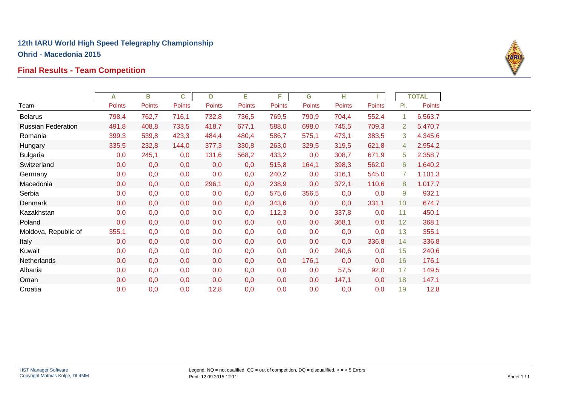# **Final Results - Team Competition**



|                           | А             | В             | C      | D             | Е      | F.            | G      | н             |               |                 | <b>TOTAL</b> |  |
|---------------------------|---------------|---------------|--------|---------------|--------|---------------|--------|---------------|---------------|-----------------|--------------|--|
| Team                      | <b>Points</b> | <b>Points</b> | Points | <b>Points</b> | Points | <b>Points</b> | Points | <b>Points</b> | <b>Points</b> | PI.             | Points       |  |
| <b>Belarus</b>            | 798,4         | 762,7         | 716,1  | 732,8         | 736,5  | 769,5         | 790,9  | 704,4         | 552,4         | 1               | 6.563,7      |  |
| <b>Russian Federation</b> | 491,8         | 408,8         | 733,5  | 418,7         | 677,1  | 588,0         | 698,0  | 745,5         | 709,3         | $\overline{2}$  | 5.470,7      |  |
| Romania                   | 399,3         | 539,8         | 423,3  | 484,4         | 480,4  | 586,7         | 575,1  | 473,1         | 383,5         | 3               | 4.345,6      |  |
| Hungary                   | 335,5         | 232,8         | 144,0  | 377,3         | 330,8  | 263,0         | 329,5  | 319,5         | 621,8         | 4               | 2.954,2      |  |
| <b>Bulgaria</b>           | 0,0           | 245,1         | 0,0    | 131,6         | 568,2  | 433,2         | 0,0    | 308,7         | 671,9         | 5               | 2.358,7      |  |
| Switzerland               | 0,0           | 0,0           | 0,0    | 0,0           | 0,0    | 515,8         | 164,1  | 398,3         | 562,0         | 6               | 1.640,2      |  |
| Germany                   | 0,0           | 0,0           | 0,0    | 0,0           | 0,0    | 240,2         | 0,0    | 316,1         | 545,0         | $\overline{7}$  | 1.101,3      |  |
| Macedonia                 | 0,0           | 0,0           | 0,0    | 296,1         | 0,0    | 238,9         | 0,0    | 372,1         | 110,6         | 8               | 1.017,7      |  |
| Serbia                    | 0,0           | 0,0           | 0,0    | 0,0           | 0,0    | 575,6         | 356,5  | 0,0           | 0,0           | 9               | 932,1        |  |
| <b>Denmark</b>            | 0,0           | 0,0           | 0,0    | 0,0           | 0,0    | 343,6         | 0,0    | 0,0           | 331,1         | 10 <sup>°</sup> | 674,7        |  |
| Kazakhstan                | 0,0           | 0,0           | 0,0    | 0,0           | 0,0    | 112,3         | 0,0    | 337,8         | 0,0           | 11              | 450,1        |  |
| Poland                    | 0,0           | 0,0           | 0,0    | 0,0           | 0,0    | 0,0           | 0,0    | 368,1         | 0,0           | 12              | 368,1        |  |
| Moldova, Republic of      | 355,1         | 0,0           | 0,0    | 0,0           | 0,0    | 0,0           | 0,0    | 0,0           | 0,0           | 13              | 355,1        |  |
| Italy                     | 0,0           | 0,0           | 0,0    | 0,0           | 0,0    | 0,0           | 0,0    | 0,0           | 336,8         | 14              | 336,8        |  |
| Kuwait                    | 0,0           | 0,0           | 0,0    | 0,0           | 0,0    | 0,0           | 0,0    | 240,6         | 0,0           | 15              | 240,6        |  |
| Netherlands               | 0,0           | 0,0           | 0,0    | 0,0           | 0,0    | 0,0           | 176,1  | 0,0           | 0,0           | 16              | 176,1        |  |
| Albania                   | 0,0           | 0,0           | 0,0    | 0,0           | 0,0    | 0,0           | 0,0    | 57,5          | 92,0          | 17              | 149,5        |  |
| Oman                      | 0,0           | 0,0           | 0,0    | 0,0           | 0,0    | 0,0           | 0,0    | 147,1         | 0,0           | 18              | 147,1        |  |
| Croatia                   | 0,0           | 0,0           | 0,0    | 12,8          | 0,0    | 0,0           | 0,0    | 0,0           | 0,0           | 19              | 12,8         |  |